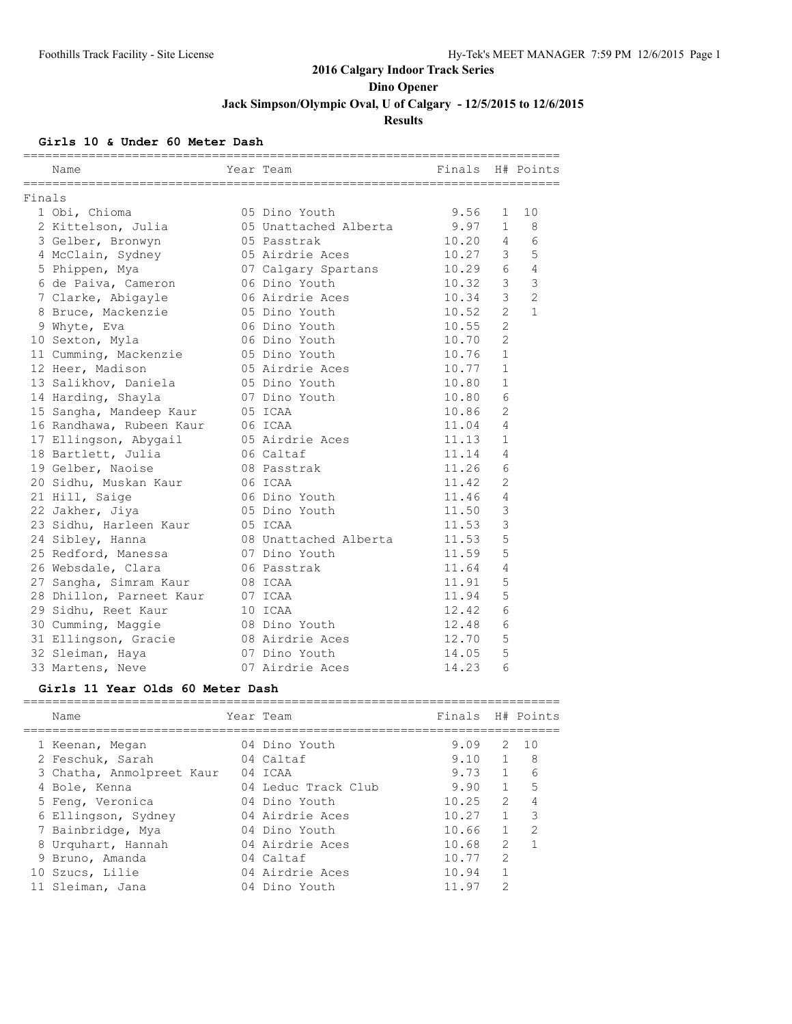### **Girls 10 & Under 60 Meter Dash**

|        | Name                     | Year Team             | Finals H# Points |                |                |
|--------|--------------------------|-----------------------|------------------|----------------|----------------|
| Finals |                          |                       |                  |                |                |
|        | 1 Obi, Chioma            | 05 Dino Youth         | 9.56             | 1              | 10             |
|        | 2 Kittelson, Julia       | 05 Unattached Alberta | 9.97             | $\mathbf{1}$   | 8              |
|        | 3 Gelber, Bronwyn        | 05 Passtrak           | 10.20            | 4              | 6              |
|        | 4 McClain, Sydney        | 05 Airdrie Aces       | 10.27            | 3              | 5              |
|        | 5 Phippen, Mya           | 07 Calgary Spartans   | 10.29            | 6              | $\overline{4}$ |
|        | 6 de Paiva, Cameron      | 06 Dino Youth         | 10.32            | 3              | 3              |
|        | 7 Clarke, Abigayle       | 06 Airdrie Aces       | 10.34            | 3              | $\overline{2}$ |
|        | 8 Bruce, Mackenzie       | 05 Dino Youth         | 10.52            | $\overline{2}$ | $\mathbf{1}$   |
|        | 9 Whyte, Eva             | 06 Dino Youth         | 10.55            | $\overline{2}$ |                |
|        | 10 Sexton, Myla          | 06 Dino Youth         | 10.70            | $\overline{2}$ |                |
|        | 11 Cumming, Mackenzie    | 05 Dino Youth         | 10.76            | 1              |                |
|        | 12 Heer, Madison         | 05 Airdrie Aces       | 10.77            | $\mathbf{1}$   |                |
|        | 13 Salikhov, Daniela     | 05 Dino Youth         | 10.80            | $\mathbf{1}$   |                |
|        | 14 Harding, Shayla       | 07 Dino Youth         | 10.80            | 6              |                |
|        | 15 Sangha, Mandeep Kaur  | 05 ICAA               | 10.86            | $\overline{2}$ |                |
|        | 16 Randhawa, Rubeen Kaur | 06 ICAA               | 11.04            | 4              |                |
|        | 17 Ellingson, Abygail    | 05 Airdrie Aces       | 11.13            | $\mathbf{1}$   |                |
|        | 18 Bartlett, Julia       | 06 Caltaf             | 11.14            | 4              |                |
|        | 19 Gelber, Naoise        | 08 Passtrak           | 11.26            | 6              |                |
|        | 20 Sidhu, Muskan Kaur    | 06 ICAA               | 11.42            | $\overline{2}$ |                |
|        | 21 Hill, Saige           | 06 Dino Youth         | 11.46            | 4              |                |
|        | 22 Jakher, Jiya          | 05 Dino Youth         | 11.50            | 3              |                |
|        | 23 Sidhu, Harleen Kaur   | 05 ICAA               | 11.53            | 3              |                |
|        | 24 Sibley, Hanna         | 08 Unattached Alberta | 11.53            | 5              |                |
|        | 25 Redford, Manessa      | 07 Dino Youth         | 11.59            | 5              |                |
|        | 26 Websdale, Clara       | 06 Passtrak           | 11.64            | 4              |                |
|        | 27 Sangha, Simram Kaur   | 08 ICAA               | 11.91            | 5              |                |
|        | 28 Dhillon, Parneet Kaur | 07 ICAA               | 11.94            | 5              |                |
|        | 29 Sidhu, Reet Kaur      | 10 ICAA               | 12.42            | 6              |                |
|        | 30 Cumming, Maggie       | 08 Dino Youth         | 12.48            | 6              |                |
|        | 31 Ellingson, Gracie     | 08 Airdrie Aces       | 12.70            | 5              |                |
|        | 32 Sleiman, Haya         | 07 Dino Youth         | 14.05            | 5              |                |
|        | 33 Martens, Neve         | 07 Airdrie Aces       | 14.23            | 6              |                |
|        |                          |                       |                  |                |                |

### **Girls 11 Year Olds 60 Meter Dash**

| Name                      | Year Team           | Finals H# Points |               |                 |
|---------------------------|---------------------|------------------|---------------|-----------------|
| 1 Keenan, Megan           | 04 Dino Youth       | 9.09             | 2             | $\overline{10}$ |
| 2 Feschuk, Sarah          | 04 Caltaf           | 9.10             |               | 8               |
| 3 Chatha, Anmolpreet Kaur | 04 ICAA             | 9.73             |               | 6               |
| 4 Bole, Kenna             | 04 Leduc Track Club | 9.90             |               | 5               |
| 5 Feng, Veronica          | 04 Dino Youth       | 10.25            | $\mathcal{P}$ |                 |
| 6 Ellingson, Sydney       | 04 Airdrie Aces     | 10.27            |               | ς               |
| 7 Bainbridge, Mya         | 04 Dino Youth       | 10.66            |               | 2               |
| 8 Urquhart, Hannah        | 04 Airdrie Aces     | 10.68            | $\mathcal{P}$ |                 |
| 9 Bruno, Amanda           | 04 Caltaf           | 10.77            | $\mathcal{P}$ |                 |
| 10 Szucs, Lilie           | 04 Airdrie Aces     | 10.94            |               |                 |
| 11 Sleiman, Jana          | 04 Dino Youth       | 11.97            | $\mathcal{P}$ |                 |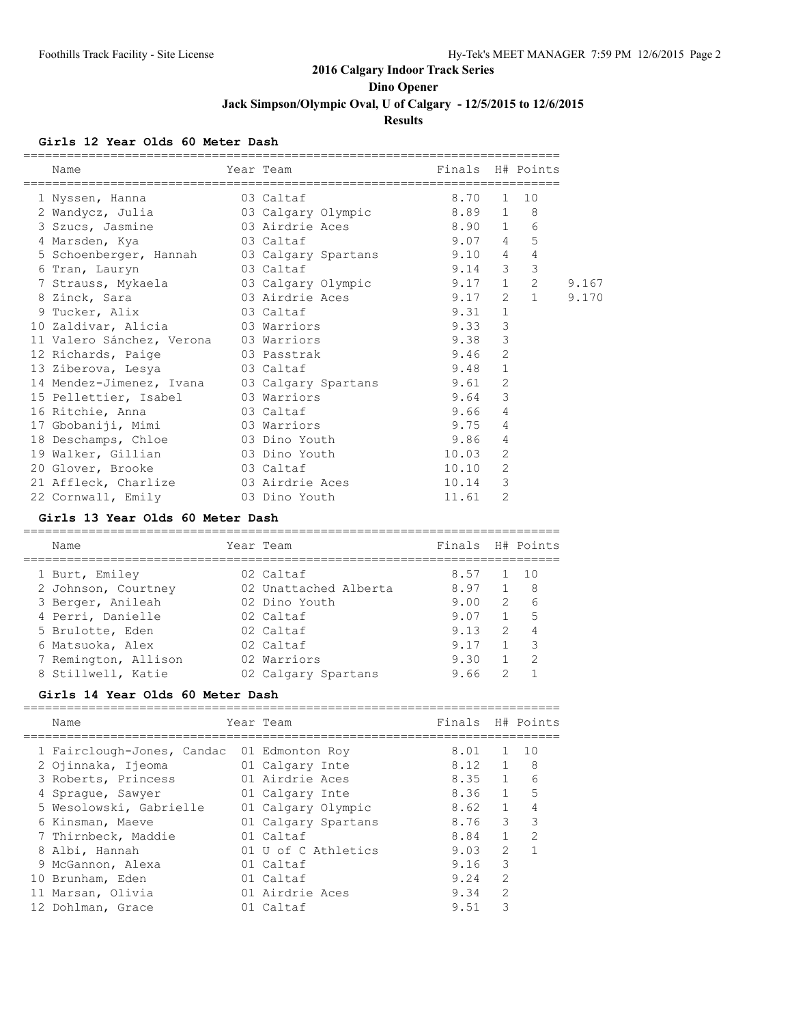**Dino Opener**

**Jack Simpson/Olympic Oval, U of Calgary - 12/5/2015 to 12/6/2015**

### **Results**

#### **Girls 12 Year Olds 60 Meter Dash**

| Name                                                         | Year Team | Finals H# Points |                |                |       |
|--------------------------------------------------------------|-----------|------------------|----------------|----------------|-------|
| 1 Nyssen, Hanna 63 Caltaf                                    |           | 8.70             |                | $1 \quad 10$   |       |
| 2 Wandycz, Julia and 03 Calgary Olympic 8.89 1 8             |           |                  |                |                |       |
| 3 Szucs, Jasmine 603 Airdrie Aces 8.90 1 6                   |           |                  |                |                |       |
| 4 Marsden, Kya 63 Caltaf                                     | 9.074     |                  |                | 5              |       |
| 5 Schoenberger, Hannah 03 Calgary Spartans 9.10 4            |           |                  |                | $\overline{4}$ |       |
| 03 Caltaf<br>6 Tran, Lauryn                                  | $9.14$ 3  |                  |                | 3              |       |
| 7 Strauss, Mykaela 63 Calgary Olympic 9.17 1                 |           |                  |                | $2^{\circ}$    | 9.167 |
| 8 Zinck, Sara                 03 Airdrie Aces           9.17 |           |                  |                | $2 \quad 1$    | 9.170 |
| 9 Tucker, Alix 03 Caltaf                                     |           | 9.31             | $\mathbf{1}$   |                |       |
| 10 Zaldivar, Alicia 63 Warriors                              |           | 9.33             | 3              |                |       |
| 11 Valero Sánchez, Verona    03 Warriors                     |           | 9.38             | 3              |                |       |
| 12 Richards, Paige 63 Passtrak                               |           | 9.46             | 2              |                |       |
| 13 Ziberova, Lesya 63 Caltaf                                 |           | 9.48             | $\mathbf 1$    |                |       |
| 14 Mendez-Jimenez, Ivana 03 Calgary Spartans 9.61            |           |                  | $\overline{2}$ |                |       |
| 15 Pellettier, Isabel 03 Warriors                            |           | 9.64             | 3              |                |       |
| 16 Ritchie, Anna 63 Caltaf                                   |           | 9.66             | $\overline{4}$ |                |       |
| 17 Gbobaniji, Mimi 63 Warriors                               |           | 9.75             | 4              |                |       |
| 18 Deschamps, Chloe 63 Dino Youth                            |           | 9.86             | $\overline{4}$ |                |       |
| 19 Walker, Gillian 63 Dino Youth                             |           | 10.03            | 2              |                |       |
| 20 Glover, Brooke 03 Caltaf                                  |           | 10.10            | $\overline{2}$ |                |       |
| 21 Affleck, Charlize 03 Airdrie Aces                         |           | 10.14            | 3              |                |       |
| 22 Cornwall, Emily 63 Dino Youth                             |           | 11.61            | 2              |                |       |

#### **Girls 13 Year Olds 60 Meter Dash**

| Name                 | Year Team             | Finals H# Points |               |    |
|----------------------|-----------------------|------------------|---------------|----|
| 1 Burt, Emiley       | 02 Caltaf             | 8.57             |               | 10 |
| 2 Johnson, Courtney  | 02 Unattached Alberta | 8.97             |               | 8  |
| 3 Berger, Anileah    | 02 Dino Youth         | 9.00             | $\mathcal{L}$ | 6  |
| 4 Perri, Danielle    | 02 Caltaf             | 9.07             |               | 5  |
| 5 Brulotte, Eden     | 02 Caltaf             | 9.13             | $\mathcal{L}$ | 4  |
| 6 Matsuoka, Alex     | 02 Caltaf             | 9.17             |               | 3  |
| 7 Remington, Allison | 02 Warriors           | 9.30             |               | 2  |
| 8 Stillwell, Katie   | 02 Calgary Spartans   | 9.66             | 2             |    |

#### **Girls 14 Year Olds 60 Meter Dash**

| Name |                                                                                                                                                                                                                                           |                            |                                                                                                                                                                                                                                  |                |                                          |
|------|-------------------------------------------------------------------------------------------------------------------------------------------------------------------------------------------------------------------------------------------|----------------------------|----------------------------------------------------------------------------------------------------------------------------------------------------------------------------------------------------------------------------------|----------------|------------------------------------------|
|      |                                                                                                                                                                                                                                           |                            | 8.01                                                                                                                                                                                                                             | $\mathbf{1}$   | 1 O                                      |
|      |                                                                                                                                                                                                                                           |                            | 8.12                                                                                                                                                                                                                             | $\overline{1}$ | 8                                        |
|      |                                                                                                                                                                                                                                           |                            |                                                                                                                                                                                                                                  | $\mathbf{1}$   | 6                                        |
|      |                                                                                                                                                                                                                                           |                            | 8.36                                                                                                                                                                                                                             | $\mathbf{1}$   | $-5$                                     |
|      |                                                                                                                                                                                                                                           |                            |                                                                                                                                                                                                                                  | 1              |                                          |
|      |                                                                                                                                                                                                                                           |                            | 8.76                                                                                                                                                                                                                             | 3              | 3                                        |
|      |                                                                                                                                                                                                                                           |                            |                                                                                                                                                                                                                                  | $\mathbf{1}$   | $\mathcal{P}$                            |
|      |                                                                                                                                                                                                                                           |                            | 9.03                                                                                                                                                                                                                             | $\mathcal{L}$  |                                          |
|      |                                                                                                                                                                                                                                           |                            | 9.16                                                                                                                                                                                                                             | 3              |                                          |
|      |                                                                                                                                                                                                                                           |                            | 9.24                                                                                                                                                                                                                             | $\mathcal{L}$  |                                          |
|      |                                                                                                                                                                                                                                           |                            | 9.34                                                                                                                                                                                                                             | $\mathcal{L}$  |                                          |
|      |                                                                                                                                                                                                                                           |                            | 9.51                                                                                                                                                                                                                             | Κ              |                                          |
|      | 2 Ojinnaka, Ijeoma<br>3 Roberts, Princess<br>4 Spraque, Sawyer<br>5 Wesolowski, Gabrielle<br>6 Kinsman, Maeve<br>7 Thirnbeck, Maddie<br>8 Albi, Hannah<br>9 McGannon, Alexa<br>10 Brunham, Eden<br>11 Marsan, Olivia<br>12 Dohlman, Grace | 1 Fairclough-Jones, Candac | Year Team<br>01 Edmonton Roy<br>01 Calgary Inte<br>01 Airdrie Aces<br>01 Calgary Inte<br>01 Calgary Olympic<br>01 Calgary Spartans<br>01 Caltaf<br>01 U of C Athletics<br>01 Caltaf<br>01 Caltaf<br>01 Airdrie Aces<br>01 Caltaf |                | Finals H# Points<br>8.35<br>8.62<br>8.84 |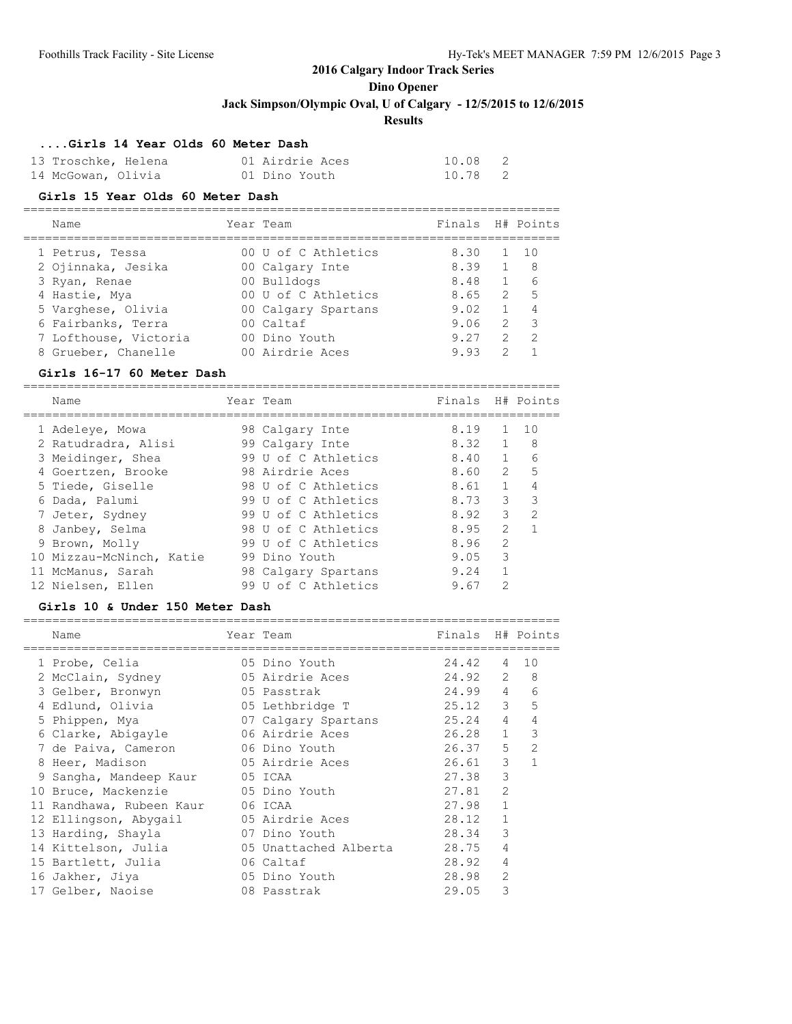**Dino Opener**

**Jack Simpson/Olympic Oval, U of Calgary - 12/5/2015 to 12/6/2015**

### **Results**

### **....Girls 14 Year Olds 60 Meter Dash**

| 13 Troschke, Helena | 01 Airdrie Aces | 10.08 2 |  |
|---------------------|-----------------|---------|--|
| 14 McGowan, Olivia  | 01 Dino Youth   | 10.78 2 |  |

#### **Girls 15 Year Olds 60 Meter Dash**

| Name                  | Year Team           | Finals H# Points |               |                         |
|-----------------------|---------------------|------------------|---------------|-------------------------|
| 1 Petrus, Tessa       | 00 U of C Athletics | 8.30             |               | $1 \quad 10$            |
| 2 Ojinnaka, Jesika    | 00 Calgary Inte     | 8.39             |               | - 8                     |
| 3 Ryan, Renae         | 00 Bulldogs         | 8.48             | $\mathbf{1}$  | 6                       |
| 4 Hastie, Mya         | 00 U of C Athletics | 8.65             | 2             | $-5$                    |
| 5 Varghese, Olivia    | 00 Calgary Spartans | 9.02             | 1             |                         |
| 6 Fairbanks, Terra    | 00 Caltaf           | 9.06             | 2             | $\overline{\mathbf{3}}$ |
| 7 Lofthouse, Victoria | 00 Dino Youth       | 9.27             | $\mathcal{L}$ | $\overline{2}$          |
| 8 Grueber, Chanelle   | 00 Airdrie Aces     | 993              |               |                         |

### **Girls 16-17 60 Meter Dash**

| Name                     | Year Team           | Finals |                | H# Points      |
|--------------------------|---------------------|--------|----------------|----------------|
| 1 Adeleye, Mowa          | 98 Calgary Inte     | 8.19   |                | 10             |
| 2 Ratudradra, Alisi      | 99 Calgary Inte     | 8.32   | $\mathbf{1}$   | 8              |
| 3 Meidinger, Shea        | 99 U of C Athletics | 8,40   | $\mathbf{1}$   | 6              |
| 4 Goertzen, Brooke       | 98 Airdrie Aces     | 8.60   | $\overline{2}$ | 5              |
| 5 Tiede, Giselle         | 98 U of C Athletics | 8.61   | $\mathbf{1}$   | $\overline{4}$ |
| 6 Dada, Palumi           | 99 U of C Athletics | 8.73   | 3              | 3              |
| 7 Jeter, Sydney          | 99 U of C Athletics | 8.92   | 3              | $\mathfrak{D}$ |
| 8 Janbey, Selma          | 98 U of C Athletics | 8.95   | $\mathcal{P}$  |                |
| 9 Brown, Molly           | 99 U of C Athletics | 8.96   | $\mathfrak{D}$ |                |
| 10 Mizzau-McNinch, Katie | 99 Dino Youth       | 9.05   | 3              |                |
| 11 McManus, Sarah        | 98 Calgary Spartans | 9.24   |                |                |
| 12 Nielsen, Ellen        | 99 U of C Athletics | 9.67   | $\mathcal{D}$  |                |

#### **Girls 10 & Under 150 Meter Dash**

| Name                     | Year Team             | Finals H# Points |                |                |
|--------------------------|-----------------------|------------------|----------------|----------------|
| 1 Probe, Celia           | 05 Dino Youth         | 24.42            | 4              | 10             |
| 2 McClain, Sydney        | 05 Airdrie Aces       | 24.92            | 2              | 8              |
| 3 Gelber, Bronwyn        | 05 Passtrak           | 24.99            | $\overline{4}$ | 6              |
| 4 Edlund, Olivia         | 05 Lethbridge T       | 25.12            | 3 <sup>7</sup> | 5              |
| 5 Phippen, Mya           | 07 Calgary Spartans   | 25.24            | $\overline{4}$ | 4              |
| 6 Clarke, Abigayle       | 06 Airdrie Aces       | 26.28            | 1              | 3              |
| 7 de Paiva, Cameron      | 06 Dino Youth         | 26.37            | $5 -$          | $\overline{2}$ |
| 8 Heer, Madison          | 05 Airdrie Aces       | 26.61            | 3              | $\mathbf{1}$   |
| 9 Sangha, Mandeep Kaur   | 05 ICAA               | 27.38            | 3              |                |
| 10 Bruce, Mackenzie      | 05 Dino Youth         | 27.81            | $\overline{2}$ |                |
| 11 Randhawa, Rubeen Kaur | 06 ICAA               | 27.98            | $\mathbf{1}$   |                |
| 12 Ellingson, Abygail    | 05 Airdrie Aces       | 28.12            |                |                |
| 13 Harding, Shayla       | 07 Dino Youth         | 28.34            | 3              |                |
| 14 Kittelson, Julia      | 05 Unattached Alberta | 28.75            | 4              |                |
| 15 Bartlett, Julia       | 06 Caltaf             | 28.92            | 4              |                |
| 16 Jakher, Jiya          | 05 Dino Youth         | 28.98            | $\overline{2}$ |                |
| 17 Gelber, Naoise        | 08 Passtrak           | 29.05            | 3              |                |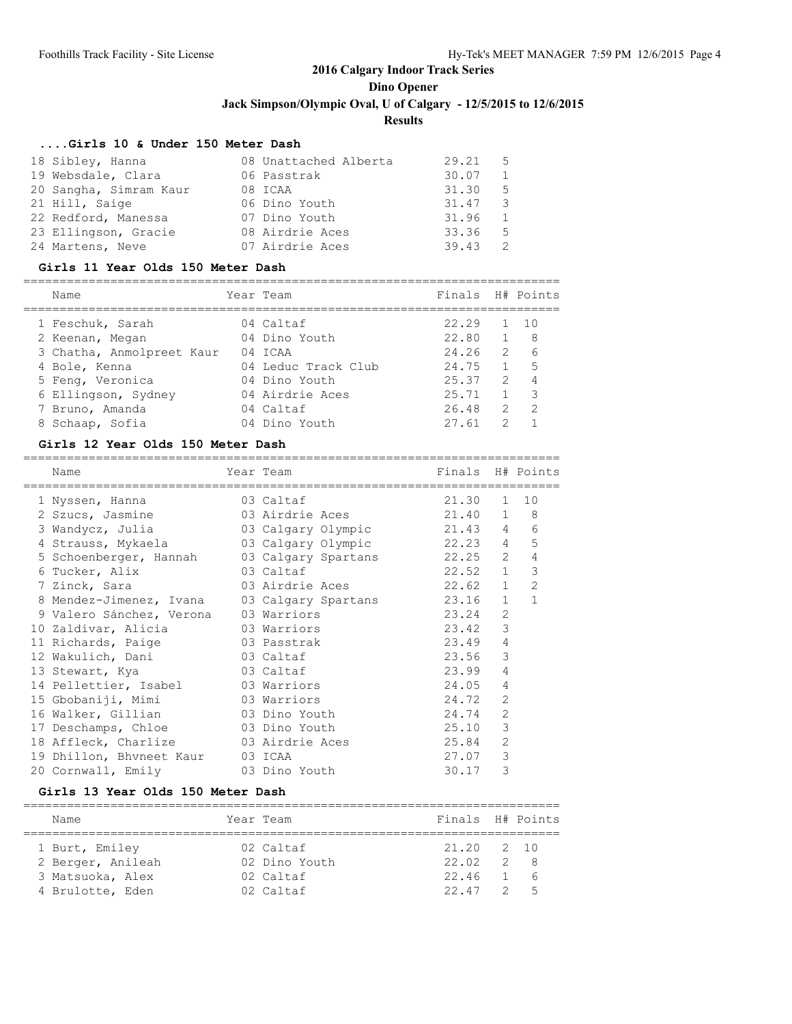#### **....Girls 10 & Under 150 Meter Dash**

| 18 Sibley, Hanna       | 08 Unattached Alberta | $29.21$ 5 |     |
|------------------------|-----------------------|-----------|-----|
| 19 Websdale, Clara     | 06 Passtrak           | 30.07     |     |
| 20 Sangha, Simram Kaur | 08 ICAA               | 31.30     | - 5 |
| 21 Hill, Saige         | 06 Dino Youth         | 31.47     | - 3 |
| 22 Redford, Manessa    | 07 Dino Youth         | 31.96     |     |
| 23 Ellingson, Gracie   | 08 Airdrie Aces       | 33.36     | .5  |
| 24 Martens, Neve       | 07 Airdrie Aces       | 39.43     |     |

#### **Girls 11 Year Olds 150 Meter Dash**

| Name                      | Year Team           | Finals H# Points |               |                |
|---------------------------|---------------------|------------------|---------------|----------------|
| 1 Feschuk, Sarah          | 04 Caltaf           | 22.29            |               | 10             |
| 2 Keenan, Megan           | 04 Dino Youth       | 22.80            |               | - 8            |
| 3 Chatha, Anmolpreet Kaur | 04 ICAA             | 24.26            | $\mathcal{L}$ | 6              |
| 4 Bole, Kenna             | 04 Leduc Track Club | 24.75            |               | 5              |
| 5 Feng, Veronica          | 04 Dino Youth       | 25.37            | $\mathcal{L}$ | $\overline{4}$ |
| 6 Ellingson, Sydney       | 04 Airdrie Aces     | 25.71            |               | 3              |
| 7 Bruno, Amanda           | 04 Caltaf           | 26.48            | 2             | 2              |
| 8 Schaap, Sofia           | 04 Dino Youth       | 27.61            | っ             |                |

#### **Girls 12 Year Olds 150 Meter Dash**

| Name                                           | Year Team                  | Finals H# Points |                |                |
|------------------------------------------------|----------------------------|------------------|----------------|----------------|
| 1 Nyssen, Hanna                                | 03 Caltaf                  | 21.30            |                | $1 \quad 10$   |
| 2 Szucs, Jasmine                               | 03 Airdrie Aces            | 21.40            | $\mathbf{1}$   | 8              |
| 3 Wandycz, Julia                               | 03 Calgary Olympic 21.43 4 |                  |                | 6              |
| 4 Strauss, Mykaela 63 Calgary Olympic 22.23 4  |                            |                  |                | 5              |
| 5 Schoenberger, Hannah                         | 03 Calgary Spartans 22.25  |                  | 2              | 4              |
| 6 Tucker, Alix                                 | 03 Caltaf                  | $22.52$ 1        |                | 3              |
| 7 Zinck, Sara                                  | 03 Airdrie Aces            | 22.62            | $\mathbf{1}$   | $\overline{2}$ |
| 8 Mendez-Jimenez, Ivana                        | 03 Calgary Spartans 23.16  |                  | $\mathbf{1}$   | $\mathbf{1}$   |
| 9 Valero Sánchez, Verona                       | 03 Warriors                | 23.24            | $\overline{2}$ |                |
| 10 Zaldivar, Alicia                            | 03 Warriors                | 23.42            | 3              |                |
| 11 Richards, Paige                             | 03 Passtrak                | 23.49            | 4              |                |
| 12 Wakulich, Dani                              | 03 Caltaf                  | 23.56            | 3              |                |
| 13 Stewart, Kya                                | 03 Caltaf                  | 23.99            | 4              |                |
| 14 Pellettier, Isabel                          | 03 Warriors                | 24.05            | 4              |                |
| 15 Gbobaniji, Mimi                             | 03 Warriors                | 24.72            | $\overline{2}$ |                |
| 16 Walker, Gillian                             | 03 Dino Youth              | 24.74            | $\overline{2}$ |                |
| 17 Deschamps, Chloe 63 Dino Youth              |                            | 25.10            | 3              |                |
| 18 Affleck, Charlize           03 Airdrie Aces |                            | 25.84            | $\overline{2}$ |                |
| 19 Dhillon, Bhvneet Kaur                       | 03 ICAA                    | 27.07            | 3              |                |
| 20 Cornwall, Emily                             | 03 Dino Youth              | 30.17            | 3              |                |

#### **Girls 13 Year Olds 150 Meter Dash**

| Name              | Year Team     | Finals H# Points |                                            |
|-------------------|---------------|------------------|--------------------------------------------|
| 1 Burt, Emiley    | 02 Caltaf     | 21.20 2 10       |                                            |
| 2 Berger, Anileah | 02 Dino Youth | 22.02            | $\begin{array}{ccc} & 2 & & 8 \end{array}$ |
| 3 Matsuoka, Alex  | 02 Caltaf     | $22.46$ 1 6      |                                            |
| 4 Brulotte, Eden  | 02 Caltaf     | $22.47$ $2.5$    |                                            |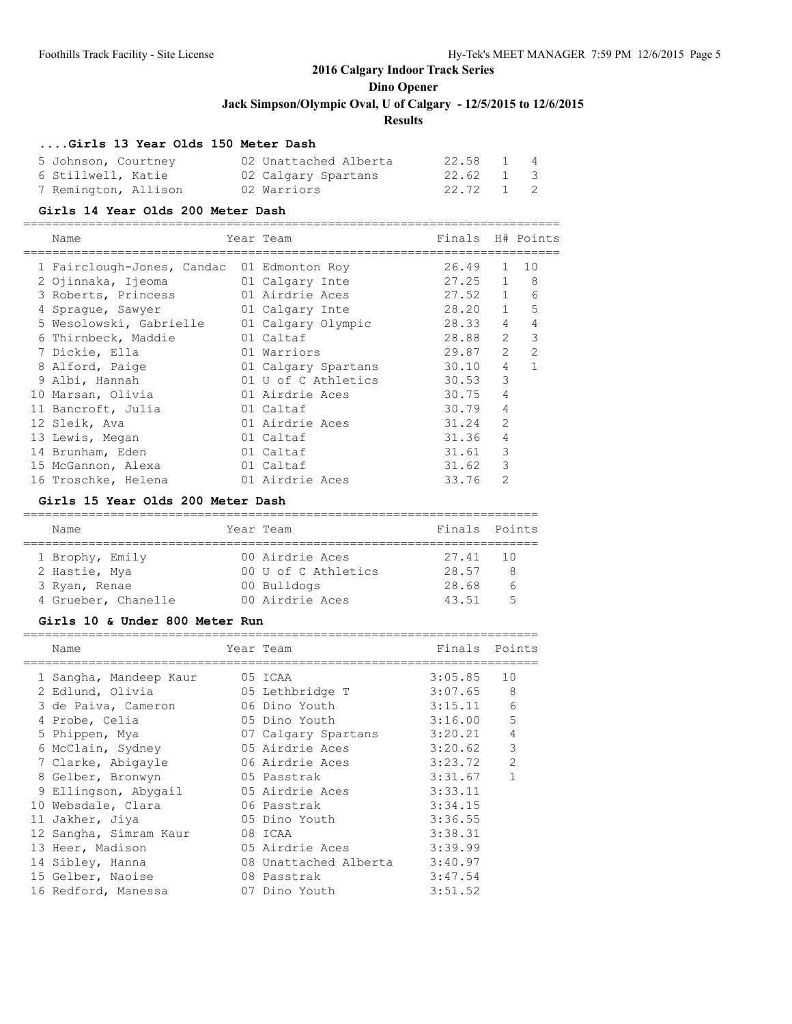#### **....Girls 13 Year Olds 150 Meter Dash**

| 5 Johnson, Courtney  | 02 Unattached Alberta | 22.58 1 4 |  |
|----------------------|-----------------------|-----------|--|
| 6 Stillwell, Katie   | 02 Calgary Spartans   | 22.62 1 3 |  |
| 7 Remington, Allison | 02 Warriors           | 22.72 1 2 |  |

#### **Girls 14 Year Olds 200 Meter Dash**

==========================================================================

| Name                       | Year Team           | Finals |                | H# Points                   |
|----------------------------|---------------------|--------|----------------|-----------------------------|
| 1 Fairclough-Jones, Candac | 01 Edmonton Roy     | 26.49  | $\mathbf{1}$   | 10                          |
| 2 Ojinnaka, Ijeoma         | 01 Calgary Inte     | 27.25  | $\mathbf{1}$   | 8                           |
| 3 Roberts, Princess        | 01 Airdrie Aces     | 27.52  | $\mathbf{1}$   | 6                           |
| 4 Spraque, Sawyer          | 01 Calgary Inte     | 28.20  | $\mathbf{1}$   | 5                           |
| 5 Wesolowski, Gabrielle    | 01 Calgary Olympic  | 28.33  | $\overline{4}$ | 4                           |
| 6 Thirnbeck, Maddie        | 01 Caltaf           | 28.88  |                | $\mathbf{3}$<br>$2^{\circ}$ |
| 7 Dickie, Ella             | 01 Warriors         | 29.87  | $\overline{2}$ | $\overline{2}$              |
| 8 Alford, Paige            | 01 Calgary Spartans | 30.10  | $\overline{4}$ |                             |
| 9 Albi, Hannah             | 01 U of C Athletics | 30.53  | 3              |                             |
| 10 Marsan, Olivia          | 01 Airdrie Aces     | 30.75  | 4              |                             |
| 11 Bancroft, Julia         | 01 Caltaf           | 30.79  | 4              |                             |
| 12 Sleik, Ava              | 01 Airdrie Aces     | 31.24  | $\overline{2}$ |                             |
| 13 Lewis, Megan            | 01 Caltaf           | 31.36  | 4              |                             |
| 14 Brunham, Eden           | 01 Caltaf           | 31.61  | 3              |                             |
| 15 McGannon, Alexa         | 01 Caltaf           | 31.62  | 3              |                             |
| 16 Troschke, Helena        | 01 Airdrie Aces     | 33.76  | $\overline{2}$ |                             |

#### **Girls 15 Year Olds 200 Meter Dash**

| Name                | Year Team           | Finals Points |   |
|---------------------|---------------------|---------------|---|
| 1 Brophy, Emily     | 00 Airdrie Aces     | 27.41 10      |   |
| 2 Hastie, Mya       | 00 U of C Athletics | 28.57         | 8 |
| 3 Ryan, Renae       | 00 Bulldogs         | 28.68         |   |
| 4 Grueber, Chanelle | 00 Airdrie Aces     | 43.51         | Б |

#### **Girls 10 & Under 800 Meter Run**

|   | Name                   | Year Team             | Finals  | Points         |
|---|------------------------|-----------------------|---------|----------------|
|   | 1 Sangha, Mandeep Kaur | 05 ICAA               | 3:05.85 | 10             |
|   | 2 Edlund, Olivia       | 05 Lethbridge T       | 3:07.65 | 8              |
|   | 3 de Paiva, Cameron    | 06 Dino Youth         | 3:15.11 | 6              |
| 4 | Probe, Celia           | 05 Dino Youth         | 3:16.00 | 5              |
|   | 5 Phippen, Mya         | 07 Calgary Spartans   | 3:20.21 | 4              |
|   | 6 McClain, Sydney      | 05 Airdrie Aces       | 3:20.62 | 3              |
|   | 7 Clarke, Abigayle     | 06 Airdrie Aces       | 3:23.72 | $\overline{2}$ |
|   | 8 Gelber, Bronwyn      | 05 Passtrak           | 3:31.67 |                |
|   | 9 Ellingson, Abygail   | 05 Airdrie Aces       | 3:33.11 |                |
|   | 10 Websdale, Clara     | 06 Passtrak           | 3:34.15 |                |
|   | 11 Jakher, Jiya        | 05 Dino Youth         | 3:36.55 |                |
|   | 12 Sangha, Simram Kaur | 08 ICAA               | 3:38.31 |                |
|   | 13 Heer, Madison       | 05 Airdrie Aces       | 3:39.99 |                |
|   | 14 Sibley, Hanna       | 08 Unattached Alberta | 3:40.97 |                |
|   | 15 Gelber, Naoise      | 08 Passtrak           | 3:47.54 |                |
|   | 16 Redford, Manessa    | 07 Dino Youth         | 3:51.52 |                |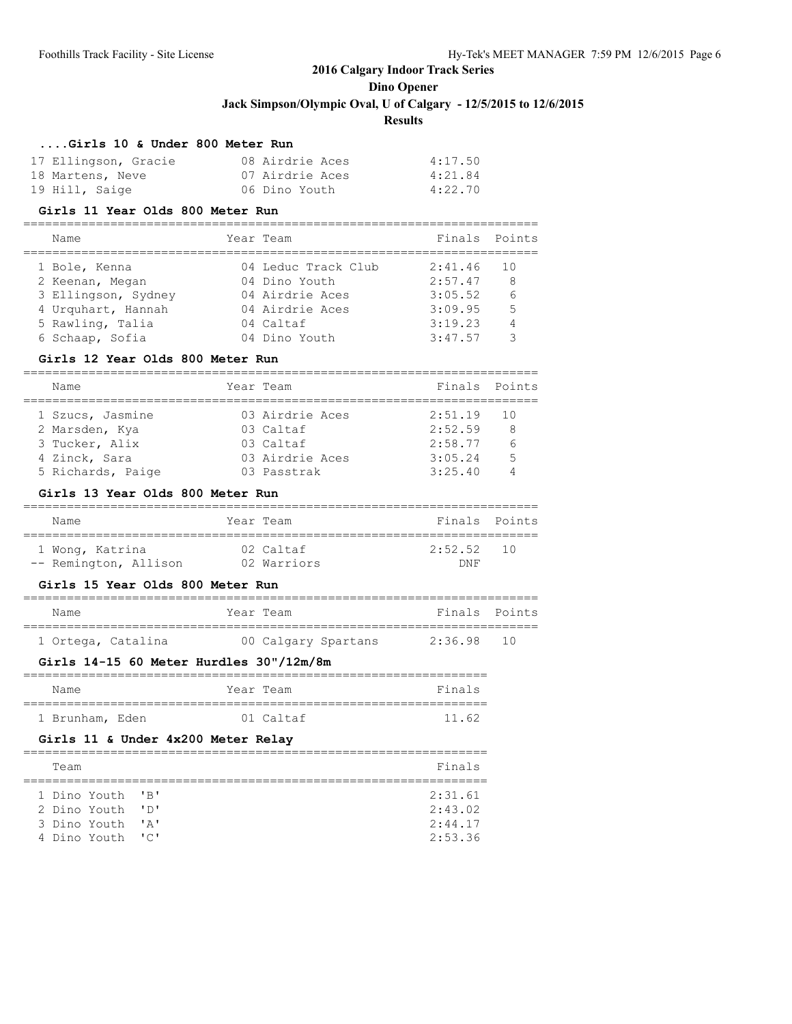### **Results**

#### **....Girls 10 & Under 800 Meter Run**

| 17 Ellingson, Gracie | 08 Airdrie Aces | 4:17.50 |
|----------------------|-----------------|---------|
| 18 Martens, Neve     | 07 Airdrie Aces | 4:21.84 |
| 19 Hill, Saige       | 06 Dino Youth   | 4:22.70 |

#### **Girls 11 Year Olds 800 Meter Run**

#### =======================================================================

| Name                | Year Team           | Finals Points |                 |
|---------------------|---------------------|---------------|-----------------|
| 1 Bole, Kenna       | 04 Leduc Track Club | 2:41.46       | - 10            |
| 2 Keenan, Megan     | 04 Dino Youth       | 2:57.47       | 8               |
| 3 Ellingson, Sydney | 04 Airdrie Aces     | 3:05.52       | $6\overline{6}$ |
| 4 Urquhart, Hannah  | 04 Airdrie Aces     | 3:09.95       | -5              |
| 5 Rawling, Talia    | 04 Caltaf           | 3:19.23       | 4               |
| 6 Schaap, Sofia     | 04 Dino Youth       | 3:47.57       | ₹               |

#### **Girls 12 Year Olds 800 Meter Run**

| Name |                   | Year Team       | Finals Points |    |
|------|-------------------|-----------------|---------------|----|
|      |                   |                 |               |    |
|      | 1 Szucs, Jasmine  | 03 Airdrie Aces | $2:51.19$ 10  |    |
|      | 2 Marsden, Kya    | 03 Caltaf       | 2:52.59       | 8  |
|      | 3 Tucker, Alix    | 03 Caltaf       | 2:58.77       |    |
|      | 4 Zinck, Sara     | 03 Airdrie Aces | 3:05.24       | .5 |
|      | 5 Richards, Paige | 03 Passtrak     | 3:25.40       |    |

### **Girls 13 Year Olds 800 Meter Run**

| Name                  | Year Team   | Finals Points |
|-----------------------|-------------|---------------|
| 1 Wong, Katrina       | 02 Caltaf   | $2:52.52$ 10  |
| -- Remington, Allison | 02 Warriors | <b>DNF</b>    |

#### **Girls 15 Year Olds 800 Meter Run**

| Name               | Year Team |                     | Finals Points |  |
|--------------------|-----------|---------------------|---------------|--|
| 1 Ortega, Catalina |           | 00 Calgary Spartans | 2:36.98 10    |  |

### **Girls 14-15 60 Meter Hurdles 30"/12m/8m**

| Name            |  | Year Team   | Finals |
|-----------------|--|-------------|--------|
|                 |  |             |        |
| 1 Brunham, Eden |  | $01$ Caltaf | 11 62  |

### **Girls 11 & Under 4x200 Meter Relay**

| Finals  |
|---------|
|         |
| 2:31.61 |
| 2:43.02 |
| 2:44.17 |
| 2:53.36 |
|         |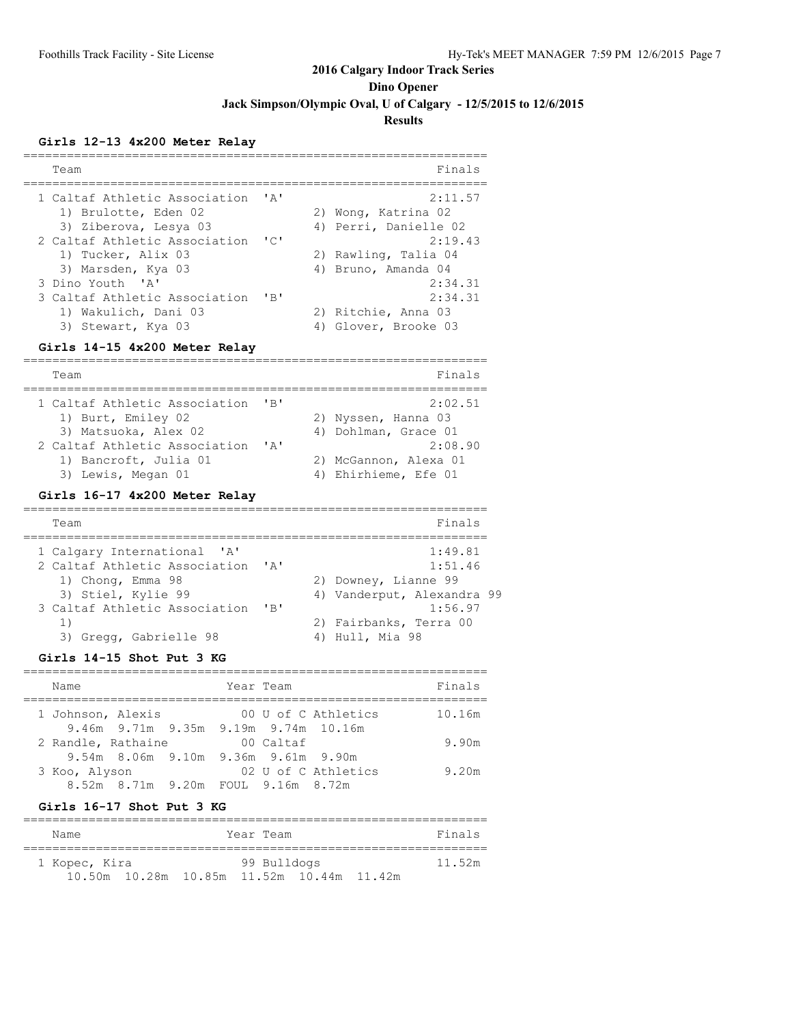**Dino Opener**

**Jack Simpson/Olympic Oval, U of Calgary - 12/5/2015 to 12/6/2015**

### **Results**

### **Girls 12-13 4x200 Meter Relay**

| Team                            |                           | Finals                     |
|---------------------------------|---------------------------|----------------------------|
|                                 |                           |                            |
| 1 Caltaf Athletic Association   | $^{\prime}$ A $^{\prime}$ | 2:11.57                    |
| 1) Brulotte, Eden 02            |                           | 2) Wong, Katrina 02        |
| 3) Ziberova, Lesya 03           |                           | 4) Perri, Danielle 02      |
| 2 Caltaf Athletic Association   | "C"                       | 2:19.43                    |
| 1) Tucker, Alix 03              |                           | 2) Rawling, Talia 04       |
| 3) Marsden, Kya 03              |                           | 4) Bruno, Amanda 04        |
| 3 Dino Youth 'A'                |                           | 2:34.31                    |
| 3 Caltaf Athletic Association   | $'$ $B'$                  | 2:34.31                    |
| 1) Wakulich, Dani 03            |                           | 2) Ritchie, Anna 03        |
| 3) Stewart, Kya 03              |                           | 4) Glover, Brooke 03       |
|                                 |                           |                            |
| Girls 14-15 4x200 Meter Relay   |                           |                            |
| Team                            |                           | Finals                     |
| __________________              |                           | --------                   |
| 1 Caltaf Athletic Association   | 'B'                       | 2:02.51                    |
| 1) Burt, Emiley 02              |                           | 2) Nyssen, Hanna 03        |
| 3) Matsuoka, Alex 02            |                           | 4) Dohlman, Grace 01       |
| 2 Caltaf Athletic Association   | ' A'                      | 2:08.90                    |
| 1) Bancroft, Julia 01           |                           | 2) McGannon, Alexa 01      |
| 3) Lewis, Megan 01              |                           | 4) Ehirhieme, Efe 01       |
|                                 |                           |                            |
| Girls 16-17 4x200 Meter Relay   |                           |                            |
| Team                            |                           | Finals                     |
|                                 |                           |                            |
| 1 Calgary International<br>' A' |                           | 1:49.81                    |
| 2 Caltaf Athletic Association   | 'A'                       | 1:51.46                    |
| 1) Chong, Emma 98               |                           | 2) Downey, Lianne 99       |
| 3) Stiel, Kylie 99              |                           | 4) Vanderput, Alexandra 99 |
| 3 Caltaf Athletic Association   | $'$ B $'$                 | 1:56.97                    |
| 1)                              |                           | 2) Fairbanks, Terra 00     |
| 3) Gregg, Gabrielle 98          |                           | 4) Hull, Mia 98            |
|                                 |                           |                            |
| Girls 14-15 Shot Put 3 KG       |                           |                            |
|                                 |                           |                            |

| Name               |                                     |  | Year Team |                                                             | Finals |
|--------------------|-------------------------------------|--|-----------|-------------------------------------------------------------|--------|
| 1 Johnson, Alexis  |                                     |  |           | 00 U of C Athletics<br>9.46m 9.71m 9.35m 9.19m 9.74m 10.16m | 10.16m |
| 2 Randle, Rathaine |                                     |  | 00 Caltaf |                                                             | 9.90m  |
|                    | 9.54m 8.06m 9.10m 9.36m 9.61m 9.90m |  |           |                                                             |        |
| 3 Koo, Alyson      |                                     |  |           | 02 U of C Athletics                                         | 9.20m  |
|                    | 8.52m 8.71m 9.20m FOUL 9.16m 8.72m  |  |           |                                                             |        |

#### **Girls 16-17 Shot Put 3 KG**

| Name          |                                           | Year Team   |  | Finals |
|---------------|-------------------------------------------|-------------|--|--------|
| 1 Kopec, Kira |                                           | 99 Bulldogs |  | 11.52m |
|               | 10.50m 10.28m 10.85m 11.52m 10.44m 11.42m |             |  |        |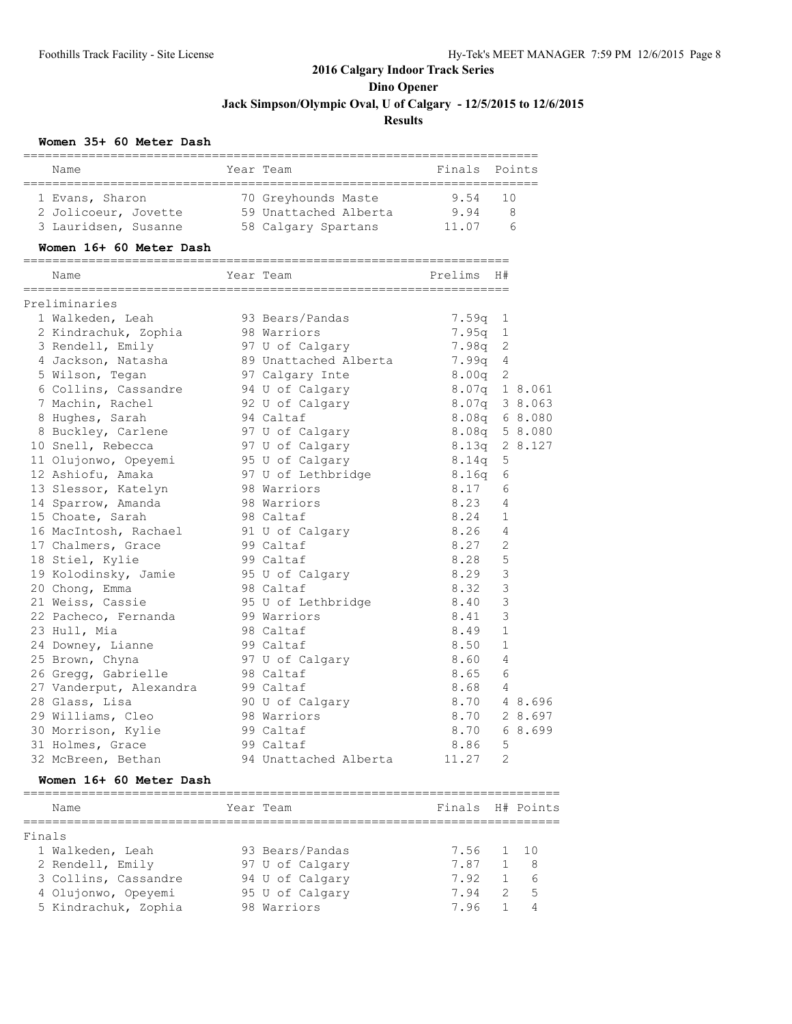#### **Women 35+ 60 Meter Dash**

| Name                    | Year Team                                          | Finals Points |                |         |
|-------------------------|----------------------------------------------------|---------------|----------------|---------|
| 1 Evans, Sharon         | 70 Greyhounds Maste                                | 9.54          | 10             |         |
| 2 Jolicoeur, Jovette    | JU GIEYNOWNER<br>59 Unattached Alberta<br>2 Cotons | 9.94          | - 8            |         |
| 3 Lauridsen, Susanne    | 58 Calgary Spartans                                | 11.07         |                | 6       |
| Women 16+ 60 Meter Dash |                                                    |               |                |         |
| Name                    | Year Team                                          | Prelims       | H#             |         |
| Preliminaries           |                                                    |               |                |         |
| 1 Walkeden, Leah        | 93 Bears/Pandas                                    | 7.59q         | 1              |         |
| 2 Kindrachuk, Zophia    | 98 Warriors                                        | 7.95q         | $\mathbf{1}$   |         |
| 3 Rendell, Emily        | 97 U of Calgary                                    | 7.98q         | 2              |         |
| 4 Jackson, Natasha      | 89 Unattached Alberta                              | 7.99q         | 4              |         |
| 5 Wilson, Tegan         | 97 Calgary Inte                                    | 8.00q         | 2              |         |
| 6 Collins, Cassandre    | 94 U of Calgary                                    | 8.07q         |                | 1 8.061 |
| 7 Machin, Rachel        | 92 U of Calgary                                    | 8.07q 3 8.063 |                |         |
| 8 Hughes, Sarah         | 94 Caltaf                                          | 8.08q         |                | 6 8.080 |
| 8 Buckley, Carlene      | 97 U of Calgary                                    | 8.08q 5 8.080 |                |         |
| 10 Snell, Rebecca       | 97 U of Calgary                                    | 8.13q         |                | 2 8.127 |
| 11 Olujonwo, Opeyemi    | 95 U of Calgary                                    | 8.14q         | 5              |         |
| 12 Ashiofu, Amaka       | 97 U of Lethbridge                                 | 8.16q         | 6              |         |
| 13 Slessor, Katelyn     | 98 Warriors                                        | 8.17          | 6              |         |
| 14 Sparrow, Amanda      | 98 Warriors                                        | 8.23          | 4              |         |
| 15 Choate, Sarah        | 98 Caltaf                                          | 8.24          | $\mathbf{1}$   |         |
| 16 MacIntosh, Rachael   | 91 U of Calgary                                    | 8.26          | 4              |         |
| 17 Chalmers, Grace      | 99 Caltaf                                          | 8.27          | 2              |         |
| 18 Stiel, Kylie         | 99 Caltaf                                          | 8.28          | 5              |         |
| 19 Kolodinsky, Jamie    | 95 U of Calgary                                    | 8.29          | $\mathcal{E}$  |         |
| 20 Chong, Emma          | 98 Caltaf                                          | 8.32          | 3              |         |
| 21 Weiss, Cassie        | 95 U of Lethbridge                                 | 8.40          | 3              |         |
| 22 Pacheco, Fernanda    | 99 Warriors                                        | 8.41          | 3              |         |
| 23 Hull, Mia            | 98 Caltaf                                          | 8.49          | $\mathbf{1}$   |         |
| 24 Downey, Lianne       | 99 Caltaf                                          | 8.50          | $\mathbf{1}$   |         |
| 25 Brown, Chyna         | 97 U of Calgary                                    | 8.60          | $\overline{4}$ |         |
| 26 Gregg, Gabrielle     | 98 Caltaf                                          | 8.65          | 6              |         |
| 27 Vanderput, Alexandra | 99 Caltaf                                          | 8.68          | 4              |         |
| 28 Glass, Lisa          | 90 U of Calgary                                    | 8.70          |                | 4 8.696 |
| 29 Williams, Cleo       | 98 Warriors                                        | 8.70          |                | 2 8.697 |
| 30 Morrison, Kylie      | 99 Caltaf                                          | 8.70          |                | 6 8.699 |
| 31 Holmes, Grace        | 99 Caltaf                                          | 8.86          | 5              |         |
| 32 McBreen, Bethan      | 94 Unattached Alberta                              | 11.27         | $\overline{2}$ |         |

#### **Women 16+ 60 Meter Dash**

========================================================================== Name Tear Team Team Finals H# Points ========================================================================== Finals 1 Walkeden, Leah 93 Bears/Pandas 7.56 1 10 2 Rendell, Emily 97 U of Calgary 7.87 1 8 3 Collins, Cassandre 94 U of Calgary 7.92 1 6 4 Olujonwo, Opeyemi 95 U of Calgary 7.94 2 5 5 Kindrachuk, Zophia 98 Warriors 7.96 1 4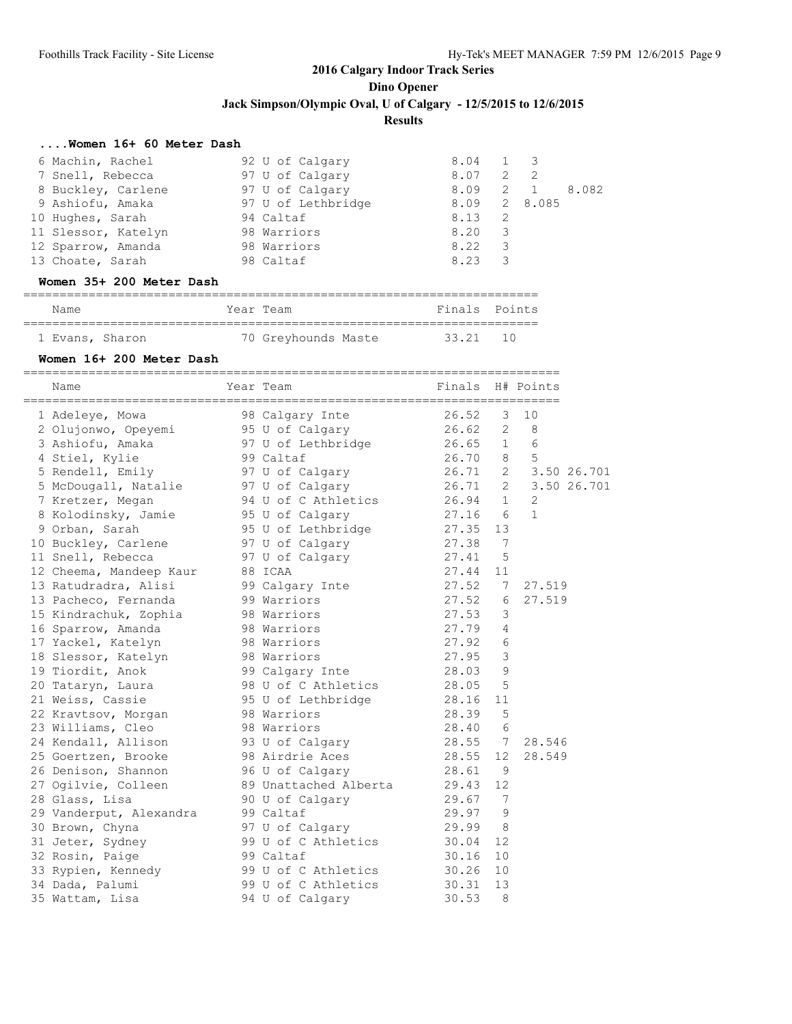#### **....Women 16+ 60 Meter Dash**

| 6 Machin, Rachel    | 92 U of Calgary    | 8.04 1 3     |     |                |       |
|---------------------|--------------------|--------------|-----|----------------|-------|
| 7 Snell, Rebecca    | 97 U of Calgary    | 8.07         | 2   | $\overline{2}$ |       |
| 8 Buckley, Carlene  | 97 U of Calgary    | 8.09         |     | $2 \quad 1$    | 8.082 |
| 9 Ashiofu, Amaka    | 97 U of Lethbridge | 8.09 2 8.085 |     |                |       |
| 10 Hughes, Sarah    | 94 Caltaf          | 8.13         | - 2 |                |       |
| 11 Slessor, Katelyn | 98 Warriors        | 8.20         | 3   |                |       |
| 12 Sparrow, Amanda  | 98 Warriors        | 8.22         | 3   |                |       |
| 13 Choate, Sarah    | 98 Caltaf          | 8.23         | -3  |                |       |
|                     |                    |              |     |                |       |

#### **Women 35+ 200 Meter Dash**

| Name            |  | Year Team           | Finals Points |  |
|-----------------|--|---------------------|---------------|--|
|                 |  |                     |               |  |
| 1 Evans, Sharon |  | 70 Greyhounds Maste | 33.21 10      |  |

#### **Women 16+ 200 Meter Dash**

| 98 Calgary Inte<br>26.52<br>10<br>3<br>1 Adeleye, Mowa<br>95 U of Calgary<br>26.62<br>$2 \quad 8$<br>2 Olujonwo, Opeyemi<br>97 U of Lethbridge<br>$26.65$ 1 6<br>3 Ashiofu, Amaka<br>99 Caltaf<br>8 5<br>4 Stiel, Kylie<br>26.70<br>26.71<br>2 3.50 26.701<br>5 Rendell, Emily 5 97 U of Calgary<br>5 McDougall, Natalie 97 U of Calgary<br>26.71 2 3.50 26.701<br>94 U of C Athletics<br>7 Kretzer, Megan<br>$26.94$ 1<br>2<br>8 Kolodinsky, Jamie 95 U of Calgary<br>27.16<br>$\mathbf{1}$<br>6<br>9 Orban, Sarah<br>95 U of Lethbridge 27.35<br>13<br>97 U of Calgary<br>27.38<br>$\overline{7}$<br>10 Buckley, Carlene<br>5<br>11 Snell, Rebecca<br>97 U of Calgary<br>27.41<br>12 Cheema, Mandeep Kaur<br>11<br>88 ICAA<br>27.44<br>27.52<br>13 Ratudradra, Alisi<br>99 Calgary Inte<br>7<br>27.519<br>27.52<br>13 Pacheco, Fernanda<br>99 Warriors<br>27.519<br>6<br>3<br>98 Warriors<br>27.53<br>15 Kindrachuk, Zophia<br>4<br>98 Warriors<br>27.79<br>16 Sparrow, Amanda<br>6<br>17 Yackel, Katelyn<br>98 Warriors<br>27.92<br>3<br>98 Warriors<br>27.95<br>18 Slessor, Katelyn<br>9<br>19 Tiordit, Anok<br>99 Calgary Inte<br>28.03<br>5<br>98 U of C Athletics<br>28.05<br>20 Tataryn, Laura<br>21 Weiss, Cassie<br>95 U of Lethbridge<br>28.16<br>11<br>5<br>28.39<br>22 Kravtsov, Morgan<br>98 Warriors<br>$6\,$<br>23 Williams, Cleo<br>98 Warriors<br>28.40<br>24 Kendall, Allison<br>93 U of Calgary<br>28.557<br>28.546<br>25 Goertzen, Brooke<br>98 Airdrie Aces<br>28.55<br>12<br>28.549<br>26 Denison, Shannon<br>96 U of Calgary<br>28.61<br>- 9<br>12<br>27 Ogilvie, Colleen<br>89 Unattached Alberta<br>29.43<br>$\overline{7}$<br>28 Glass, Lisa<br>90 U of Calgary<br>29.67<br>9<br>29.97<br>29 Vanderput, Alexandra<br>99 Caltaf<br>30 Brown, Chyna<br>97 U of Calgary<br>29.99<br>8<br>31 Jeter, Sydney<br>99 U of C Athletics<br>12<br>30.04<br>32 Rosin, Paige<br>10<br>99 Caltaf<br>30.16<br>33 Rypien, Kennedy 59 U of C Athletics<br>30.26<br>10<br>34 Dada, Palumi<br>99 U of C Athletics<br>13<br>30.31<br>8<br>94 U of Calgary<br>30.53<br>35 Wattam, Lisa | Name | Year Team | Finals H# Points |  |  |
|----------------------------------------------------------------------------------------------------------------------------------------------------------------------------------------------------------------------------------------------------------------------------------------------------------------------------------------------------------------------------------------------------------------------------------------------------------------------------------------------------------------------------------------------------------------------------------------------------------------------------------------------------------------------------------------------------------------------------------------------------------------------------------------------------------------------------------------------------------------------------------------------------------------------------------------------------------------------------------------------------------------------------------------------------------------------------------------------------------------------------------------------------------------------------------------------------------------------------------------------------------------------------------------------------------------------------------------------------------------------------------------------------------------------------------------------------------------------------------------------------------------------------------------------------------------------------------------------------------------------------------------------------------------------------------------------------------------------------------------------------------------------------------------------------------------------------------------------------------------------------------------------------------------------------------------------------------------------------------------------------------------------------------------------------------------------------------------------|------|-----------|------------------|--|--|
|                                                                                                                                                                                                                                                                                                                                                                                                                                                                                                                                                                                                                                                                                                                                                                                                                                                                                                                                                                                                                                                                                                                                                                                                                                                                                                                                                                                                                                                                                                                                                                                                                                                                                                                                                                                                                                                                                                                                                                                                                                                                                              |      |           |                  |  |  |
|                                                                                                                                                                                                                                                                                                                                                                                                                                                                                                                                                                                                                                                                                                                                                                                                                                                                                                                                                                                                                                                                                                                                                                                                                                                                                                                                                                                                                                                                                                                                                                                                                                                                                                                                                                                                                                                                                                                                                                                                                                                                                              |      |           |                  |  |  |
|                                                                                                                                                                                                                                                                                                                                                                                                                                                                                                                                                                                                                                                                                                                                                                                                                                                                                                                                                                                                                                                                                                                                                                                                                                                                                                                                                                                                                                                                                                                                                                                                                                                                                                                                                                                                                                                                                                                                                                                                                                                                                              |      |           |                  |  |  |
|                                                                                                                                                                                                                                                                                                                                                                                                                                                                                                                                                                                                                                                                                                                                                                                                                                                                                                                                                                                                                                                                                                                                                                                                                                                                                                                                                                                                                                                                                                                                                                                                                                                                                                                                                                                                                                                                                                                                                                                                                                                                                              |      |           |                  |  |  |
|                                                                                                                                                                                                                                                                                                                                                                                                                                                                                                                                                                                                                                                                                                                                                                                                                                                                                                                                                                                                                                                                                                                                                                                                                                                                                                                                                                                                                                                                                                                                                                                                                                                                                                                                                                                                                                                                                                                                                                                                                                                                                              |      |           |                  |  |  |
|                                                                                                                                                                                                                                                                                                                                                                                                                                                                                                                                                                                                                                                                                                                                                                                                                                                                                                                                                                                                                                                                                                                                                                                                                                                                                                                                                                                                                                                                                                                                                                                                                                                                                                                                                                                                                                                                                                                                                                                                                                                                                              |      |           |                  |  |  |
|                                                                                                                                                                                                                                                                                                                                                                                                                                                                                                                                                                                                                                                                                                                                                                                                                                                                                                                                                                                                                                                                                                                                                                                                                                                                                                                                                                                                                                                                                                                                                                                                                                                                                                                                                                                                                                                                                                                                                                                                                                                                                              |      |           |                  |  |  |
|                                                                                                                                                                                                                                                                                                                                                                                                                                                                                                                                                                                                                                                                                                                                                                                                                                                                                                                                                                                                                                                                                                                                                                                                                                                                                                                                                                                                                                                                                                                                                                                                                                                                                                                                                                                                                                                                                                                                                                                                                                                                                              |      |           |                  |  |  |
|                                                                                                                                                                                                                                                                                                                                                                                                                                                                                                                                                                                                                                                                                                                                                                                                                                                                                                                                                                                                                                                                                                                                                                                                                                                                                                                                                                                                                                                                                                                                                                                                                                                                                                                                                                                                                                                                                                                                                                                                                                                                                              |      |           |                  |  |  |
|                                                                                                                                                                                                                                                                                                                                                                                                                                                                                                                                                                                                                                                                                                                                                                                                                                                                                                                                                                                                                                                                                                                                                                                                                                                                                                                                                                                                                                                                                                                                                                                                                                                                                                                                                                                                                                                                                                                                                                                                                                                                                              |      |           |                  |  |  |
|                                                                                                                                                                                                                                                                                                                                                                                                                                                                                                                                                                                                                                                                                                                                                                                                                                                                                                                                                                                                                                                                                                                                                                                                                                                                                                                                                                                                                                                                                                                                                                                                                                                                                                                                                                                                                                                                                                                                                                                                                                                                                              |      |           |                  |  |  |
|                                                                                                                                                                                                                                                                                                                                                                                                                                                                                                                                                                                                                                                                                                                                                                                                                                                                                                                                                                                                                                                                                                                                                                                                                                                                                                                                                                                                                                                                                                                                                                                                                                                                                                                                                                                                                                                                                                                                                                                                                                                                                              |      |           |                  |  |  |
|                                                                                                                                                                                                                                                                                                                                                                                                                                                                                                                                                                                                                                                                                                                                                                                                                                                                                                                                                                                                                                                                                                                                                                                                                                                                                                                                                                                                                                                                                                                                                                                                                                                                                                                                                                                                                                                                                                                                                                                                                                                                                              |      |           |                  |  |  |
|                                                                                                                                                                                                                                                                                                                                                                                                                                                                                                                                                                                                                                                                                                                                                                                                                                                                                                                                                                                                                                                                                                                                                                                                                                                                                                                                                                                                                                                                                                                                                                                                                                                                                                                                                                                                                                                                                                                                                                                                                                                                                              |      |           |                  |  |  |
|                                                                                                                                                                                                                                                                                                                                                                                                                                                                                                                                                                                                                                                                                                                                                                                                                                                                                                                                                                                                                                                                                                                                                                                                                                                                                                                                                                                                                                                                                                                                                                                                                                                                                                                                                                                                                                                                                                                                                                                                                                                                                              |      |           |                  |  |  |
|                                                                                                                                                                                                                                                                                                                                                                                                                                                                                                                                                                                                                                                                                                                                                                                                                                                                                                                                                                                                                                                                                                                                                                                                                                                                                                                                                                                                                                                                                                                                                                                                                                                                                                                                                                                                                                                                                                                                                                                                                                                                                              |      |           |                  |  |  |
|                                                                                                                                                                                                                                                                                                                                                                                                                                                                                                                                                                                                                                                                                                                                                                                                                                                                                                                                                                                                                                                                                                                                                                                                                                                                                                                                                                                                                                                                                                                                                                                                                                                                                                                                                                                                                                                                                                                                                                                                                                                                                              |      |           |                  |  |  |
|                                                                                                                                                                                                                                                                                                                                                                                                                                                                                                                                                                                                                                                                                                                                                                                                                                                                                                                                                                                                                                                                                                                                                                                                                                                                                                                                                                                                                                                                                                                                                                                                                                                                                                                                                                                                                                                                                                                                                                                                                                                                                              |      |           |                  |  |  |
|                                                                                                                                                                                                                                                                                                                                                                                                                                                                                                                                                                                                                                                                                                                                                                                                                                                                                                                                                                                                                                                                                                                                                                                                                                                                                                                                                                                                                                                                                                                                                                                                                                                                                                                                                                                                                                                                                                                                                                                                                                                                                              |      |           |                  |  |  |
|                                                                                                                                                                                                                                                                                                                                                                                                                                                                                                                                                                                                                                                                                                                                                                                                                                                                                                                                                                                                                                                                                                                                                                                                                                                                                                                                                                                                                                                                                                                                                                                                                                                                                                                                                                                                                                                                                                                                                                                                                                                                                              |      |           |                  |  |  |
|                                                                                                                                                                                                                                                                                                                                                                                                                                                                                                                                                                                                                                                                                                                                                                                                                                                                                                                                                                                                                                                                                                                                                                                                                                                                                                                                                                                                                                                                                                                                                                                                                                                                                                                                                                                                                                                                                                                                                                                                                                                                                              |      |           |                  |  |  |
|                                                                                                                                                                                                                                                                                                                                                                                                                                                                                                                                                                                                                                                                                                                                                                                                                                                                                                                                                                                                                                                                                                                                                                                                                                                                                                                                                                                                                                                                                                                                                                                                                                                                                                                                                                                                                                                                                                                                                                                                                                                                                              |      |           |                  |  |  |
|                                                                                                                                                                                                                                                                                                                                                                                                                                                                                                                                                                                                                                                                                                                                                                                                                                                                                                                                                                                                                                                                                                                                                                                                                                                                                                                                                                                                                                                                                                                                                                                                                                                                                                                                                                                                                                                                                                                                                                                                                                                                                              |      |           |                  |  |  |
|                                                                                                                                                                                                                                                                                                                                                                                                                                                                                                                                                                                                                                                                                                                                                                                                                                                                                                                                                                                                                                                                                                                                                                                                                                                                                                                                                                                                                                                                                                                                                                                                                                                                                                                                                                                                                                                                                                                                                                                                                                                                                              |      |           |                  |  |  |
|                                                                                                                                                                                                                                                                                                                                                                                                                                                                                                                                                                                                                                                                                                                                                                                                                                                                                                                                                                                                                                                                                                                                                                                                                                                                                                                                                                                                                                                                                                                                                                                                                                                                                                                                                                                                                                                                                                                                                                                                                                                                                              |      |           |                  |  |  |
|                                                                                                                                                                                                                                                                                                                                                                                                                                                                                                                                                                                                                                                                                                                                                                                                                                                                                                                                                                                                                                                                                                                                                                                                                                                                                                                                                                                                                                                                                                                                                                                                                                                                                                                                                                                                                                                                                                                                                                                                                                                                                              |      |           |                  |  |  |
|                                                                                                                                                                                                                                                                                                                                                                                                                                                                                                                                                                                                                                                                                                                                                                                                                                                                                                                                                                                                                                                                                                                                                                                                                                                                                                                                                                                                                                                                                                                                                                                                                                                                                                                                                                                                                                                                                                                                                                                                                                                                                              |      |           |                  |  |  |
|                                                                                                                                                                                                                                                                                                                                                                                                                                                                                                                                                                                                                                                                                                                                                                                                                                                                                                                                                                                                                                                                                                                                                                                                                                                                                                                                                                                                                                                                                                                                                                                                                                                                                                                                                                                                                                                                                                                                                                                                                                                                                              |      |           |                  |  |  |
|                                                                                                                                                                                                                                                                                                                                                                                                                                                                                                                                                                                                                                                                                                                                                                                                                                                                                                                                                                                                                                                                                                                                                                                                                                                                                                                                                                                                                                                                                                                                                                                                                                                                                                                                                                                                                                                                                                                                                                                                                                                                                              |      |           |                  |  |  |
|                                                                                                                                                                                                                                                                                                                                                                                                                                                                                                                                                                                                                                                                                                                                                                                                                                                                                                                                                                                                                                                                                                                                                                                                                                                                                                                                                                                                                                                                                                                                                                                                                                                                                                                                                                                                                                                                                                                                                                                                                                                                                              |      |           |                  |  |  |
|                                                                                                                                                                                                                                                                                                                                                                                                                                                                                                                                                                                                                                                                                                                                                                                                                                                                                                                                                                                                                                                                                                                                                                                                                                                                                                                                                                                                                                                                                                                                                                                                                                                                                                                                                                                                                                                                                                                                                                                                                                                                                              |      |           |                  |  |  |
|                                                                                                                                                                                                                                                                                                                                                                                                                                                                                                                                                                                                                                                                                                                                                                                                                                                                                                                                                                                                                                                                                                                                                                                                                                                                                                                                                                                                                                                                                                                                                                                                                                                                                                                                                                                                                                                                                                                                                                                                                                                                                              |      |           |                  |  |  |
|                                                                                                                                                                                                                                                                                                                                                                                                                                                                                                                                                                                                                                                                                                                                                                                                                                                                                                                                                                                                                                                                                                                                                                                                                                                                                                                                                                                                                                                                                                                                                                                                                                                                                                                                                                                                                                                                                                                                                                                                                                                                                              |      |           |                  |  |  |
|                                                                                                                                                                                                                                                                                                                                                                                                                                                                                                                                                                                                                                                                                                                                                                                                                                                                                                                                                                                                                                                                                                                                                                                                                                                                                                                                                                                                                                                                                                                                                                                                                                                                                                                                                                                                                                                                                                                                                                                                                                                                                              |      |           |                  |  |  |
|                                                                                                                                                                                                                                                                                                                                                                                                                                                                                                                                                                                                                                                                                                                                                                                                                                                                                                                                                                                                                                                                                                                                                                                                                                                                                                                                                                                                                                                                                                                                                                                                                                                                                                                                                                                                                                                                                                                                                                                                                                                                                              |      |           |                  |  |  |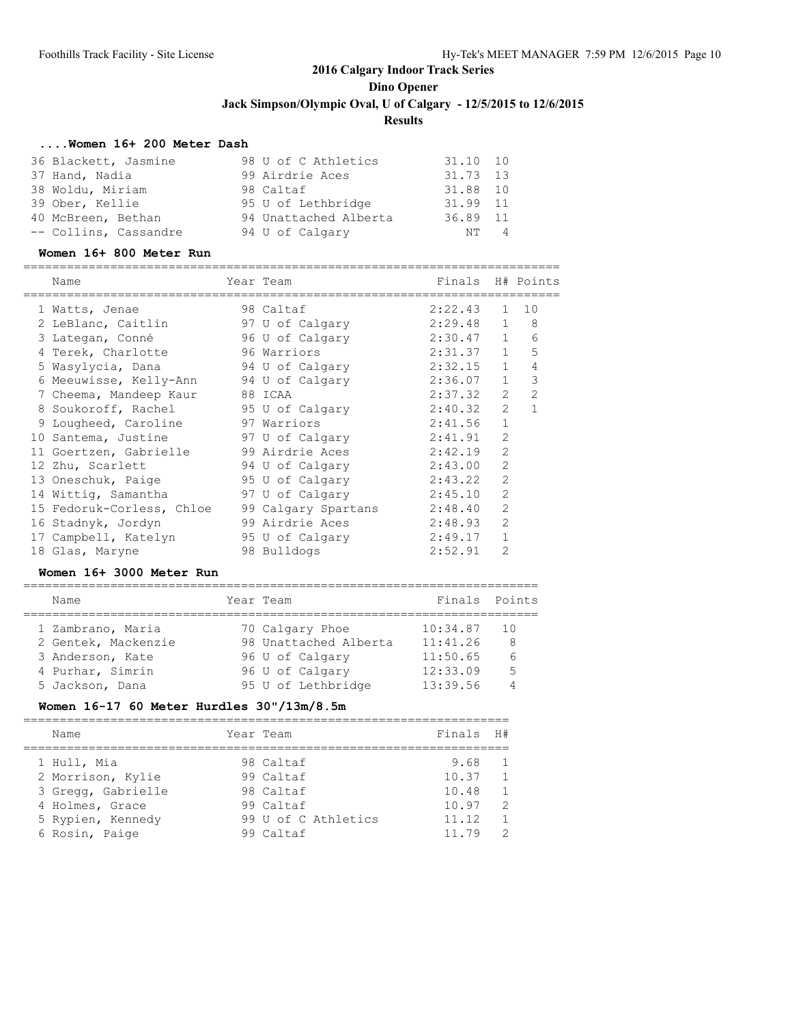#### **....Women 16+ 200 Meter Dash**

| 36 Blackett, Jasmine  | 98 U of C Athletics   | 31.10 10 |
|-----------------------|-----------------------|----------|
| 37 Hand, Nadia        | 99 Airdrie Aces       | 31.73 13 |
| 38 Woldu, Miriam      | 98 Caltaf             | 31.88 10 |
| 39 Ober, Kellie       | 95 U of Lethbridge    | 31.99 11 |
| 40 McBreen, Bethan    | 94 Unattached Alberta | 36.89 11 |
| -- Collins, Cassandre | 94 U of Calgary       | NT 4     |

#### **Women 16+ 800 Meter Run**

==========================================================================

| Name                      | Year Team           | Finals H# Points |                |               |
|---------------------------|---------------------|------------------|----------------|---------------|
| 1 Watts, Jenae            | 98 Caltaf           | 2:22.43          | $\mathbf{1}$   | 10            |
| 2 LeBlanc, Caitlin        | 97 U of Calgary     | 2:29.48          | $\mathbf{1}$   | 8             |
| 3 Lategan, Conné          | 96 U of Calgary     | 2:30.47          | 1              | 6             |
| 4 Terek, Charlotte        | 96 Warriors         | 2:31.37          | 1              | 5             |
| 5 Wasylycia, Dana         | 94 U of Calqary     | 2:32.15          | 1              | 4             |
| 6 Meeuwisse, Kelly-Ann    | 94 U of Calqary     | 2:36.07          | $\mathbf{1}$   | 3             |
| 7 Cheema, Mandeep Kaur    | 88 ICAA             | 2:37.32          | $\mathcal{L}$  | $\mathcal{P}$ |
| 8 Soukoroff, Rachel       | 95 U of Calgary     | 2:40.32          | $\overline{2}$ | $\mathbf{1}$  |
| 9 Lougheed, Caroline      | 97 Warriors         | 2:41.56          | $\mathbf{1}$   |               |
| 10 Santema, Justine       | 97 U of Calgary     | 2:41.91          | $\mathcal{L}$  |               |
| 11 Goertzen, Gabrielle    | 99 Airdrie Aces     | 2:42.19          | $\mathfrak{D}$ |               |
| 12 Zhu, Scarlett          | 94 U of Calgary     | 2:43.00          | $\overline{2}$ |               |
| 13 Oneschuk, Paige        | 95 U of Calgary     | 2:43.22          | $\overline{2}$ |               |
| 14 Wittig, Samantha       | 97 U of Calgary     | 2:45.10          | $\overline{2}$ |               |
| 15 Fedoruk-Corless, Chloe | 99 Calgary Spartans | 2:48.40          | $\overline{2}$ |               |
| 16 Stadnyk, Jordyn        | 99 Airdrie Aces     | 2:48.93          | $\mathcal{L}$  |               |
| 17 Campbell, Katelyn      | 95 U of Calgary     | 2:49.17          | $\mathbf{1}$   |               |
| 18 Glas, Maryne           | 98 Bulldogs         | 2:52.91          | $\overline{2}$ |               |

#### **Women 16+ 3000 Meter Run**

#### ======================================================================= Name Team Year Team Team Finals Points

| 1 Zambrano, Maria   | 70 Calgary Phoe       | $10:34.87$ 10 |    |
|---------------------|-----------------------|---------------|----|
| 2 Gentek, Mackenzie | 98 Unattached Alberta | 11:41.26      | 8  |
| 3 Anderson, Kate    | 96 U of Calgary       | 11:50.65      | 6  |
| 4 Purhar, Simrin    | 96 U of Calgary       | 12:33.09      | .5 |
| 5 Jackson, Dana     | 95 U of Lethbridge    | 13:39.56      |    |

#### **Women 16-17 60 Meter Hurdles 30"/13m/8.5m**

| Name                                                                                                             | Year Team                                                                            | Finals H#                                         |                                                                                                      |
|------------------------------------------------------------------------------------------------------------------|--------------------------------------------------------------------------------------|---------------------------------------------------|------------------------------------------------------------------------------------------------------|
| 1 Hull, Mia<br>2 Morrison, Kylie<br>3 Gregg, Gabrielle<br>4 Holmes, Grace<br>5 Rypien, Kennedy<br>6 Rosin, Paige | 98 Caltaf<br>99 Caltaf<br>98 Caltaf<br>99 Caltaf<br>99 U of C Athletics<br>99 Caltaf | 9.68<br>10.37<br>10.48<br>10.97<br>11.12<br>11.79 | $\overline{1}$<br>$\mathbf{1}$<br>$\overline{1}$<br>$\mathcal{L}$<br>$\overline{1}$<br>$\mathcal{P}$ |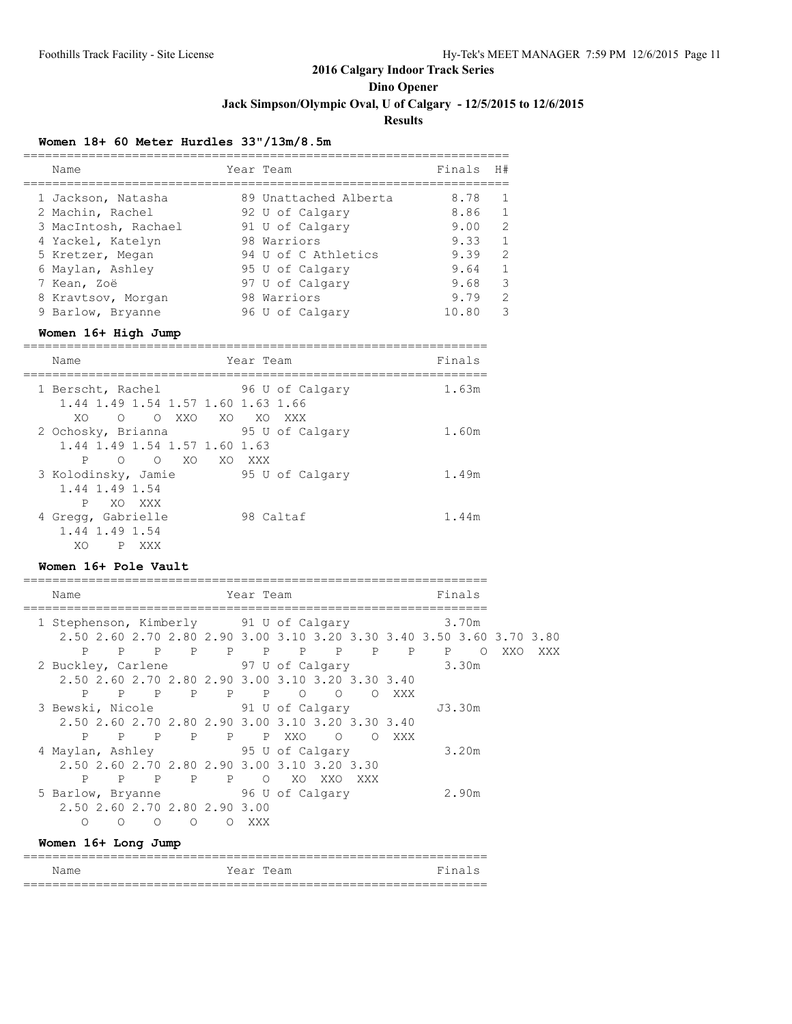### **Dino Opener**

**Jack Simpson/Olympic Oval, U of Calgary - 12/5/2015 to 12/6/2015**

**Results**

### **Women 18+ 60 Meter Hurdles 33"/13m/8.5m**

| Name                 | Year Team             | Finals | H#            |
|----------------------|-----------------------|--------|---------------|
| 1 Jackson, Natasha   | 89 Unattached Alberta | 8.78   |               |
| 2 Machin, Rachel     | 92 U of Calgary       | 8.86   |               |
| 3 MacIntosh, Rachael | 91 U of Calgary       | 9.00   | $\mathcal{D}$ |
| 4 Yackel, Katelyn    | 98 Warriors           | 9.33   |               |
| 5 Kretzer, Megan     | 94 U of C Athletics   | 9.39   | $\mathcal{D}$ |
| 6 Maylan, Ashley     | 95 U of Calgary       | 9.64   |               |
| 7 Kean, Zoë          | 97 U of Calgary       | 9.68   | 3             |
| 8 Kravtsov, Morgan   | 98 Warriors           | 9.79   | 2             |
| 9 Barlow, Bryanne    | 96 U of Calgary       | 10.80  |               |

### **Women 16+ High Jump**

| Name                                                                             | Year Team                    | Finals |
|----------------------------------------------------------------------------------|------------------------------|--------|
| 1 Berscht, Rachel 96 U of Calgary<br>1.44 1.49 1.54 1.57 1.60 1.63 1.66          |                              | 1.63m  |
| O XXO<br>XO.<br>$\bigcap$<br>2 Ochosky, Brianna<br>1.44 1.49 1.54 1.57 1.60 1.63 | XO XO XXX<br>95 U of Calgary | 1.60m  |
| P<br>XO<br>∩<br>∩<br>3 Kolodinsky, Jamie<br>1.44 1.49 1.54                       | XO XXX<br>95 U of Calgary    | 1.49m  |
| P<br>XO XXX<br>4 Gregg, Gabrielle<br>1.44 1.49 1.54                              | 98 Caltaf                    | 1.44m  |
| XO<br>P<br>XXX                                                                   |                              |        |

#### **Women 16+ Pole Vault**

| Name                                   |         |                |          |                                                   | Year Team |    |     |            |              |              | Finals   |                                                                       |     |
|----------------------------------------|---------|----------------|----------|---------------------------------------------------|-----------|----|-----|------------|--------------|--------------|----------|-----------------------------------------------------------------------|-----|
| 1 Stephenson, Kimberly 91 U of Calgary |         |                |          |                                                   |           |    |     |            | 3.70m        |              |          |                                                                       |     |
|                                        |         |                |          |                                                   |           |    |     |            |              |              |          | 2.50 2.60 2.70 2.80 2.90 3.00 3.10 3.20 3.30 3.40 3.50 3.60 3.70 3.80 |     |
| P                                      | P.      | $\overline{P}$ |          | P P P P P P                                       |           |    |     |            | $\mathbb{P}$ | $\mathbf{P}$ | $\Omega$ | XXO                                                                   | XXX |
| 2 Buckley, Carlene 97 U of Calgary     |         |                |          |                                                   |           |    |     |            | 3.30m        |              |          |                                                                       |     |
|                                        |         |                |          | 2.50 2.60 2.70 2.80 2.90 3.00 3.10 3.20 3.30 3.40 |           |    |     |            |              |              |          |                                                                       |     |
| P                                      |         |                |          | P P P P P O O                                     |           |    |     | $\bigcirc$ | XXX          |              |          |                                                                       |     |
| 3 Bewski, Nicole 51 U of Calgary       |         |                |          |                                                   |           |    |     |            |              |              | J3.30m   |                                                                       |     |
|                                        |         |                |          | 2.50 2.60 2.70 2.80 2.90 3.00 3.10 3.20 3.30 3.40 |           |    |     |            |              |              |          |                                                                       |     |
| P.                                     |         |                |          | PPPPPPXXO OOXXX                                   |           |    |     |            |              |              |          |                                                                       |     |
| 4 Maylan, Ashley 95 U of Calgary       |         |                |          |                                                   |           |    |     |            |              |              | 3.20m    |                                                                       |     |
|                                        |         |                |          | 2.50 2.60 2.70 2.80 2.90 3.00 3.10 3.20 3.30      |           |    |     |            |              |              |          |                                                                       |     |
| P                                      | P.      | $\mathbf{P}$   |          | $P$ $P$                                           | $\Omega$  | XO | XXO | XXX        |              |              |          |                                                                       |     |
| 5 Barlow, Bryanne 5 96 U of Calgary    |         |                |          |                                                   |           |    |     |            |              |              | 2.90m    |                                                                       |     |
|                                        |         |                |          | 2.50 2.60 2.70 2.80 2.90 3.00                     |           |    |     |            |              |              |          |                                                                       |     |
| O                                      | $\circ$ | $\Omega$       | $\Omega$ | ∩                                                 | XXX       |    |     |            |              |              |          |                                                                       |     |

#### **Women 16+ Long Jump**

|      | __________________________________ |           |        |
|------|------------------------------------|-----------|--------|
| Name |                                    | Year Team | Finals |
|      | ---------------------------------- |           |        |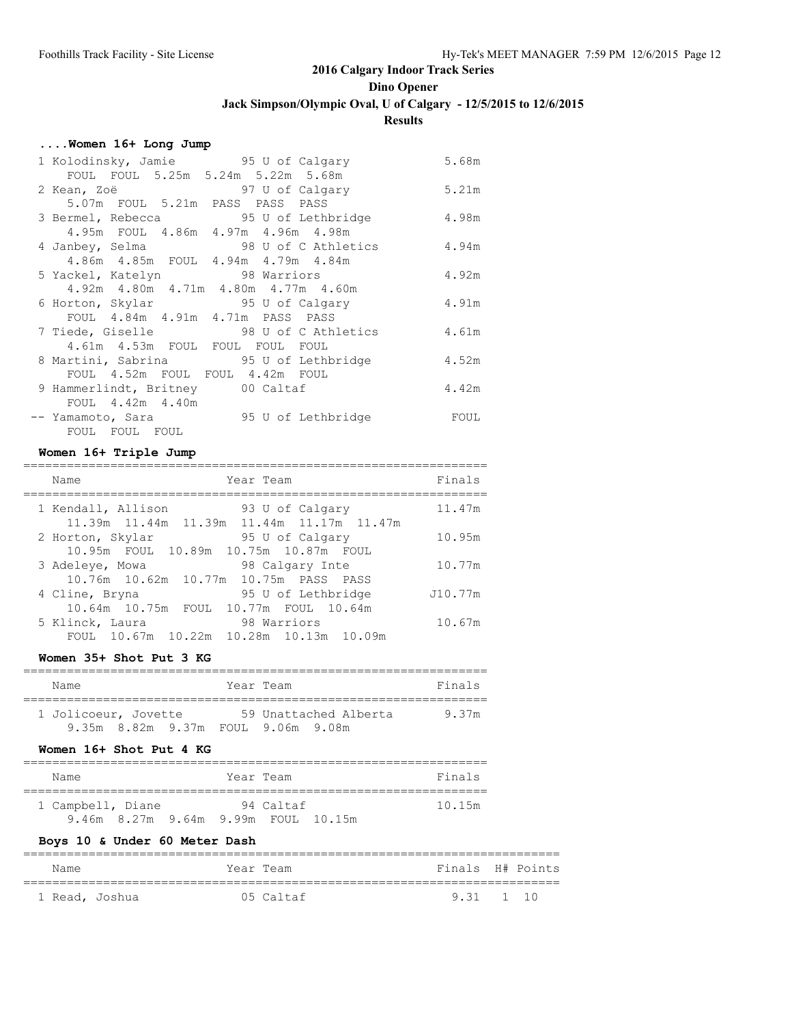**Dino Opener**

**Jack Simpson/Olympic Oval, U of Calgary - 12/5/2015 to 12/6/2015**

### **Results**

### **....Women 16+ Long Jump**

| 1 Kolodinsky, Jamie 95 U of Calgary     | 5.68m |
|-----------------------------------------|-------|
| FOUL FOUL 5.25m 5.24m 5.22m 5.68m       |       |
| 2 Kean, Zoë<br>97 U of Calgary          | 5.21m |
| 5.07m FOUL 5.21m PASS PASS PASS         |       |
| 3 Bermel, Rebecca 3 95 U of Lethbridge  | 4.98m |
| 4.95m FOUL 4.86m 4.97m 4.96m 4.98m      |       |
| 4 Janbey, Selma 58 98 U of C Athletics  | 4.94m |
| 4.86m  4.85m  FOUL  4.94m  4.79m  4.84m |       |
| 5 Yackel, Katelyn 5 98 Warriors         | 4.92m |
| 4.92m 4.80m 4.71m 4.80m 4.77m 4.60m     |       |
| 6 Horton, Skylar 55 U of Calgary        | 4.91m |
| FOUL 4.84m 4.91m 4.71m PASS PASS        |       |
| 7 Tiede, Giselle 98 U of C Athletics    | 4.61m |
| 4.61m 4.53m FOUL FOUL FOUL FOUL         |       |
| 8 Martini, Sabrina 95 U of Lethbridge   | 4.52m |
| FOUL 4.52m FOUL FOUL 4.42m FOUL         |       |
| 9 Hammerlindt, Britney 00 Caltaf        | 4.42m |
| FOUL 4.42m 4.40m                        |       |
| -- Yamamoto, Sara 55 U of Lethbridge    | FOUL  |
| FOUL FOUL FOUL                          |       |

#### **Women 16+ Triple Jump**

| Year Team<br>Name                                                                       | Finals  |
|-----------------------------------------------------------------------------------------|---------|
| 1 Kendall, Allison<br>93 U of Calgary<br>11.39m  11.44m  11.39m  11.44m  11.17m  11.47m | 11.47m  |
| 2 Horton, Skylar<br>95 U of Calgary<br>10.95m FOUL 10.89m 10.75m 10.87m FOUL            | 10.95m  |
| 98 Calgary Inte<br>3 Adeleye, Mowa<br>10.76m  10.62m  10.77m  10.75m  PASS  PASS        | 10.77m  |
| 95 U of Lethbridge<br>4 Cline, Bryna<br>10.64m 10.75m<br>FOUL 10.77m FOUL 10.64m        | J10.77m |
| 5 Klinck, Laura<br>98 Warriors<br>FOUL 10.67m 10.22m<br>10.28m 10.13m 10.09m            | 10.67m  |

#### **Women 35+ Shot Put 3 KG**

| Name                               | Year Team             | Finals |
|------------------------------------|-----------------------|--------|
| 1 Jolicoeur, Jovette               | 59 Unattached Alberta | 9.37m  |
| 9.35m 8.82m 9.37m FOUL 9.06m 9.08m |                       |        |

### **Women 16+ Shot Put 4 KG**

| Name                                |  | Year Team | Finals |  |  |  |  |  |  |
|-------------------------------------|--|-----------|--------|--|--|--|--|--|--|
| 1 Campbell, Diane                   |  | 94 Caltaf | 10.15m |  |  |  |  |  |  |
| 9.46m 8.27m 9.64m 9.99m FOUL 10.15m |  |           |        |  |  |  |  |  |  |

### **Boys 10 & Under 60 Meter Dash**

| Name           | Year Team | Finals H# Points |  |
|----------------|-----------|------------------|--|
| 1 Read, Joshua | 05 Caltaf | 9.31 1 10        |  |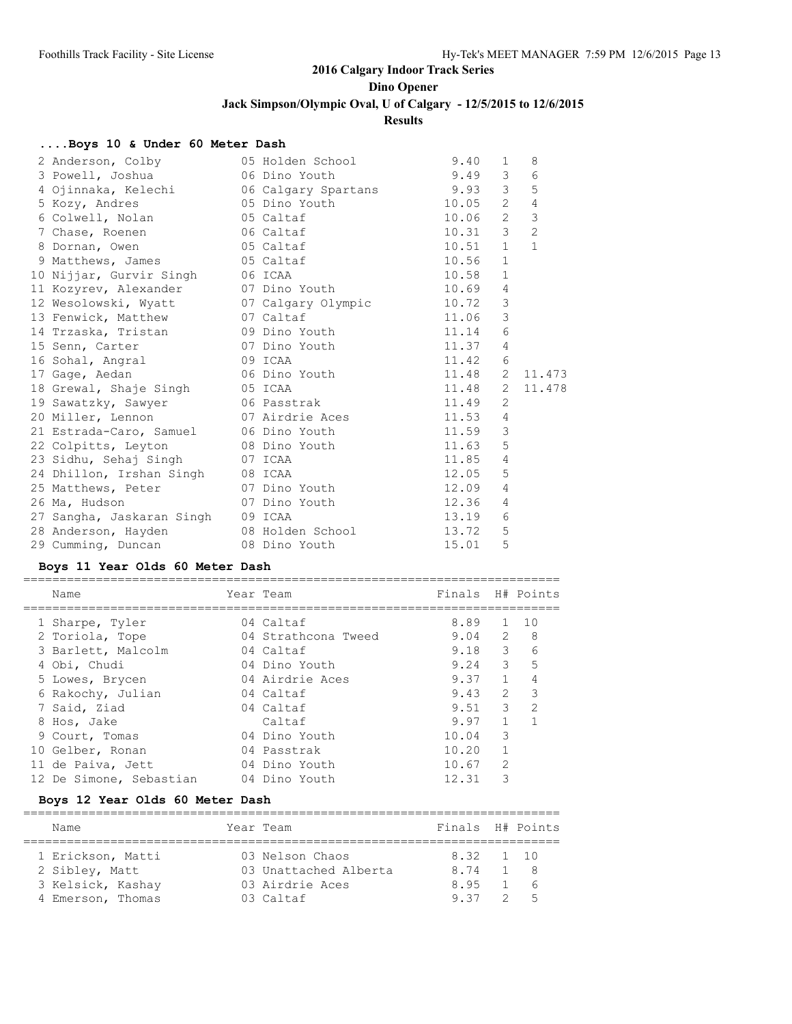**Dino Opener**

**Jack Simpson/Olympic Oval, U of Calgary - 12/5/2015 to 12/6/2015**

### **Results**

### **....Boys 10 & Under 60 Meter Dash**

| 2 Anderson, Colby                              | 05 Holden School       | 9.40  | $\mathbf{1}$   | 8              |
|------------------------------------------------|------------------------|-------|----------------|----------------|
| 3 Powell, Joshua                               | 06 Dino Youth          | 9.49  | 3 <sup>7</sup> | 6              |
| 4 Ojinnaka, Kelechi (16 Calgary Spartans 19.93 |                        |       | 3              | 5              |
| 5 Kozy, Andres 65 Dino Youth                   |                        | 10.05 | $2^{\circ}$    | $\overline{4}$ |
| 6 Colwell, Nolan 05 Caltaf                     |                        | 10.06 | $2^{\circ}$    | $\mathfrak{Z}$ |
| 7 Chase, Roenen 66 Caltaf                      |                        | 10.31 | $\mathcal{E}$  | $\overline{2}$ |
| 8 Dornan, Owen 65 Caltaf                       |                        | 10.51 | $\mathbf{1}$   | $\mathbf{1}$   |
| 9 Matthews, James 65 Caltaf                    |                        | 10.56 | $\mathbf{1}$   |                |
| 10 Nijjar, Gurvir Singh                        | 06 ICAA                | 10.58 | $\mathbf{1}$   |                |
| 11 Kozyrev, Alexander                          | 07 Dino Youth          | 10.69 | $\overline{4}$ |                |
| 12 Wesolowski, Wyatt                           | 07 Calgary Olympic     | 10.72 | $\mathcal{S}$  |                |
| 13 Fenwick, Matthew                            | 07 Caltaf              | 11.06 | 3              |                |
| 14 Trzaska, Tristan             09 Dino Youth  |                        | 11.14 | 6              |                |
| 15 Senn, Carter                                | 07 Dino Youth          | 11.37 | 4              |                |
| 16 Sohal, Angral                               | 09 ICAA                | 11.42 | 6              |                |
| 17 Gage, Aedan 66 Dino Youth 11.48             |                        |       | $\mathbf{2}$   | 11.473         |
| 18 Grewal, Shaje Singh                         | 05 ICAA                | 11.48 |                | 2 11.478       |
| 19 Sawatzky, Sawyer 66 Passtrak                |                        | 11.49 | $\overline{2}$ |                |
| 20 Miller, Lennon and 07 Airdrie Aces 11.53    |                        |       | 4              |                |
| 21 Estrada-Caro, Samuel 06 Dino Youth          |                        | 11.59 | $\mathcal{S}$  |                |
| 22 Colpitts, Leyton                            | 08 Dino Youth          | 11.63 | 5              |                |
| 23 Sidhu, Sehaj Singh                          | 07 ICAA                | 11.85 | $\overline{4}$ |                |
| 24 Dhillon, Irshan Singh                       | 08 ICAA                | 12.05 | 5              |                |
| 25 Matthews, Peter                             | 07 Dino Youth          | 12.09 | $\overline{4}$ |                |
| 26 Ma, Hudson                                  | 07 Dino Youth          | 12.36 | 4              |                |
| 27 Sangha, Jaskaran Singh                      | 09 ICAA                | 13.19 | 6              |                |
| 28 Anderson, Hayden                            | 08 Holden School North | 13.72 | 5              |                |
| 29 Cumming, Duncan                             | 08 Dino Youth          | 15.01 | 5              |                |

#### **Boys 11 Year Olds 60 Meter Dash**

|  | Name                    | Year Team           | Finals |                | H# Points     |
|--|-------------------------|---------------------|--------|----------------|---------------|
|  | 1 Sharpe, Tyler         | 04 Caltaf           | 8.89   |                | 10            |
|  |                         | 04 Strathcona Tweed | 9.04   | $\mathcal{L}$  | 8             |
|  | 2 Toriola, Tope         |                     |        |                |               |
|  | 3 Barlett, Malcolm      | 04 Caltaf           | 9.18   | $\mathcal{E}$  | 6             |
|  | 4 Obi, Chudi            | 04 Dino Youth       | 9.24   | $\mathcal{E}$  | 5             |
|  | 5 Lowes, Brycen         | 04 Airdrie Aces     | 9.37   | $\mathbf{1}$   | 4             |
|  | 6 Rakochy, Julian       | 04 Caltaf           | 9.43   | $\mathcal{L}$  | 3             |
|  | 7 Said, Ziad            | 04 Caltaf           | 9.51   | 3              | $\mathcal{D}$ |
|  | 8 Hos, Jake             | Caltaf              | 9.97   |                |               |
|  | 9 Court, Tomas          | 04 Dino Youth       | 10.04  | 3              |               |
|  | 10 Gelber, Ronan        | 04 Passtrak         | 10.20  |                |               |
|  | 11 de Paiva, Jett       | 04 Dino Youth       | 10.67  | $\mathfrak{D}$ |               |
|  | 12 De Simone, Sebastian | 04 Dino Youth       | 12.31  | 3              |               |
|  |                         |                     |        |                |               |

### **Boys 12 Year Olds 60 Meter Dash**

| Name |                                                                               |  |                                                                                       |  |                               |  |  |  |  |
|------|-------------------------------------------------------------------------------|--|---------------------------------------------------------------------------------------|--|-------------------------------|--|--|--|--|
|      |                                                                               |  |                                                                                       |  |                               |  |  |  |  |
|      |                                                                               |  | 8.74                                                                                  |  | 1 8                           |  |  |  |  |
|      |                                                                               |  | 8.95                                                                                  |  | $1\quad 6$                    |  |  |  |  |
|      |                                                                               |  | 937                                                                                   |  | 25                            |  |  |  |  |
|      | 1 Erickson, Matti<br>2 Sibley, Matt<br>3 Kelsick, Kashay<br>4 Emerson, Thomas |  | Year Team<br>03 Nelson Chaos<br>03 Unattached Alberta<br>03 Airdrie Aces<br>03 Caltaf |  | Finals H# Points<br>8.32 1 10 |  |  |  |  |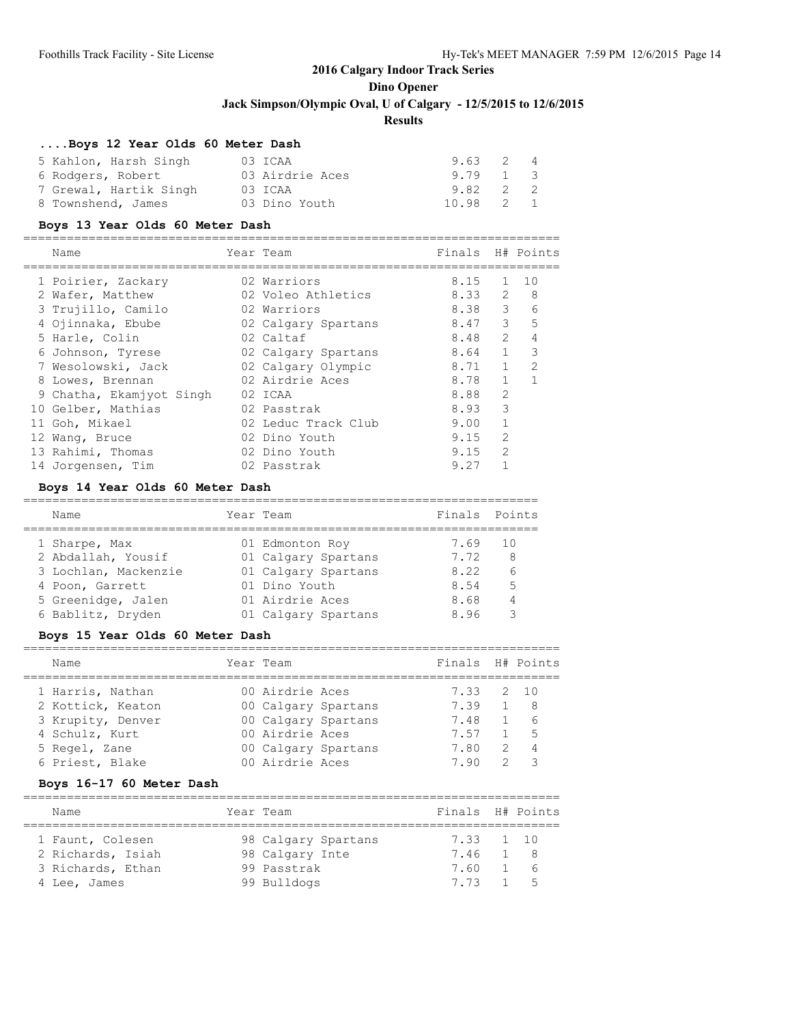# **Dino Opener**

**Jack Simpson/Olympic Oval, U of Calgary - 12/5/2015 to 12/6/2015**

### **Results**

### **....Boys 12 Year Olds 60 Meter Dash**

| 5 Kahlon, Harsh Singh  | 03 ICAA         | 9.63 2 4         |  |
|------------------------|-----------------|------------------|--|
| 6 Rodgers, Robert      | 03 Airdrie Aces | 9.79 1 3         |  |
| 7 Grewal, Hartik Singh | 03 ICAA         | $9.82 \t 2 \t 2$ |  |
| 8 Townshend, James     | 03 Dino Youth   | 10.98 2 1        |  |

#### **Boys 13 Year Olds 60 Meter Dash**

| Name                     | Year Team           | Finals H# Points |                |               |
|--------------------------|---------------------|------------------|----------------|---------------|
| 1 Poirier, Zackary       | 02 Warriors         | 8.15             | 1.             | 10            |
| 2 Wafer, Matthew         | 02 Voleo Athletics  | 8.33             | $\overline{2}$ | 8             |
| 3 Trujillo, Camilo       | 02 Warriors         | 8.38             | 3              | 6             |
| 4 Ojinnaka, Ebube        | 02 Calgary Spartans | 8.47             | 3              | 5             |
| 5 Harle, Colin           | 02 Caltaf           | 8.48             | $\mathcal{L}$  | 4             |
| 6 Johnson, Tyrese        | 02 Calgary Spartans | 8.64             | $\mathbf{1}$   | 3             |
| 7 Wesolowski, Jack       | 02 Calgary Olympic  | 8.71             |                | $\mathcal{P}$ |
| 8 Lowes, Brennan         | 02 Airdrie Aces     | 8.78             | $\mathbf{1}$   |               |
| 9 Chatha, Ekamjyot Singh | 02 ICAA             | 8.88             | $\mathfrak{D}$ |               |
| 10 Gelber, Mathias       | 02 Passtrak         | 8.93             | 3              |               |
| 11 Goh, Mikael           | 02 Leduc Track Club | 9.00             |                |               |
| 12 Wang, Bruce           | 02 Dino Youth       | 9.15             | $\overline{2}$ |               |
| 13 Rahimi, Thomas        | 02 Dino Youth       | 9.15             | $\mathfrak{D}$ |               |
| 14 Jorgensen, Tim        | 02 Passtrak         | 9.27             |                |               |

### **Boys 14 Year Olds 60 Meter Dash**

| Name                 | Year Team           | Finals | Points |
|----------------------|---------------------|--------|--------|
| 1 Sharpe, Max        | 01 Edmonton Roy     | 7.69   | -10    |
| 2 Abdallah, Yousif   | 01 Calgary Spartans | 7.72   | 8      |
| 3 Lochlan, Mackenzie | 01 Calgary Spartans | 8.22   | 6      |
| 4 Poon, Garrett      | 01 Dino Youth       | 8.54   | 5      |
| 5 Greenidge, Jalen   | 01 Airdrie Aces     | 8.68   |        |
| 6 Bablitz, Dryden    | 01 Calgary Spartans | 8.96   |        |

### **Boys 15 Year Olds 60 Meter Dash**

| Name              | Year Team       |                     | Finals H# Points |                |      |
|-------------------|-----------------|---------------------|------------------|----------------|------|
| 1 Harris, Nathan  | 00 Airdrie Aces |                     | 7.33 2 10        |                |      |
| 2 Kottick, Keaton |                 | 00 Calgary Spartans | 7.39             |                | 1 8  |
| 3 Krupity, Denver |                 | 00 Calgary Spartans | 7.48             |                | - 6  |
| 4 Schulz, Kurt    | 00 Airdrie Aces |                     | 7.57             |                | $-5$ |
| 5 Regel, Zane     |                 | 00 Calgary Spartans | 7.80             | $\overline{2}$ |      |
| 6 Priest, Blake   | 00 Airdrie Aces |                     | 790              | $\mathcal{P}$  | っ    |
|                   |                 |                     |                  |                |      |

#### **Boys 16-17 60 Meter Dash**

| Name                                  | Year Team                              | Finals H# Points      |    |             |
|---------------------------------------|----------------------------------------|-----------------------|----|-------------|
| 1 Faunt, Colesen<br>2 Richards, Isiah | 98 Calgary Spartans<br>98 Calgary Inte | 7.33 1 10<br>7.46 1 8 |    |             |
| 3 Richards, Ethan<br>4 Lee, James     | 99 Passtrak<br>99 Bulldogs             | 7.60<br>7.73          | 15 | $1 \quad 6$ |
|                                       |                                        |                       |    |             |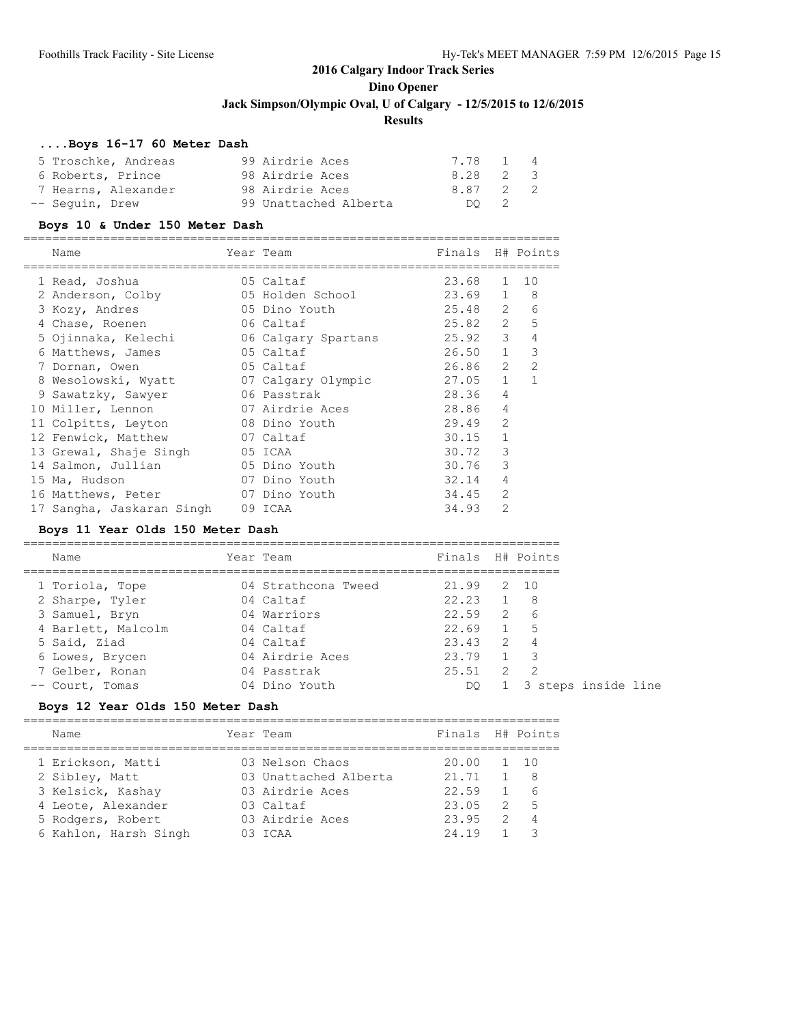### **....Boys 16-17 60 Meter Dash**

|                   | 5 Troschke, Andreas | 99 Airdrie Aces       | 7.78 1 4 |      |  |
|-------------------|---------------------|-----------------------|----------|------|--|
| 6 Roberts, Prince |                     | 98 Airdrie Aces       | 8.28 2 3 |      |  |
|                   | 7 Hearns, Alexander | 98 Airdrie Aces       | 8.87 2 2 |      |  |
| -- Sequin, Drew   |                     | 99 Unattached Alberta |          | DO 2 |  |

#### **Boys 10 & Under 150 Meter Dash**

| Name                      | Year Team           | Finals H# Points |                |                |
|---------------------------|---------------------|------------------|----------------|----------------|
| 1 Read, Joshua            | 05 Caltaf           | 23.68            | 1              | 10             |
| 2 Anderson, Colby         | 05 Holden School    | 23.69            | $\mathbf{1}$   | 8              |
| 3 Kozy, Andres            | 05 Dino Youth       | 25.48            | 2              | 6              |
| 4 Chase, Roenen           | 06 Caltaf           | 25.82            | 2              | 5              |
| 5 Ojinnaka, Kelechi       | 06 Calgary Spartans | 25.92            | 3              | 4              |
| 6 Matthews, James         | 05 Caltaf           | 26.50            | $\mathbf{1}$   | 3              |
| 7 Dornan, Owen            | 05 Caltaf           | 26.86            | 2              | $\overline{2}$ |
| 8 Wesolowski, Wyatt       | 07 Calgary Olympic  | 27.05            | $\mathbf{1}$   |                |
| 9 Sawatzky, Sawyer        | 06 Passtrak         | 28.36            | 4              |                |
| 10 Miller, Lennon         | 07 Airdrie Aces     | 28.86            | 4              |                |
| 11 Colpitts, Leyton       | 08 Dino Youth       | 29.49            | $\mathfrak{D}$ |                |
| 12 Fenwick, Matthew       | 07 Caltaf           | 30.15            | $\mathbf{1}$   |                |
| 13 Grewal, Shaje Singh    | 05 ICAA             | 30.72            | 3              |                |
| 14 Salmon, Jullian        | 05 Dino Youth       | 30.76            | 3              |                |
| 15 Ma, Hudson             | 07 Dino Youth       | 32.14            | 4              |                |
| 16 Matthews, Peter        | 07 Dino Youth       | 34.45            | $\overline{2}$ |                |
| 17 Sangha, Jaskaran Singh | 09 ICAA             | 34.93            | $\overline{2}$ |                |

### **Boys 11 Year Olds 150 Meter Dash**

| Name               | Year Team |                     | Finals H# Points  |                |                          |
|--------------------|-----------|---------------------|-------------------|----------------|--------------------------|
| 1 Toriola, Tope    |           | 04 Strathcona Tweed | 21.99             |                | 2 10                     |
| 2 Sharpe, Tyler    |           | 04 Caltaf           | $22.23$ 1         |                | - 8                      |
| 3 Samuel, Bryn     |           | 04 Warriors         | 22.59             |                | $2\overline{6}$          |
| 4 Barlett, Malcolm |           | 04 Caltaf           | 22.69             |                | 1 5                      |
| 5 Said, Ziad       |           | 04 Caltaf           | $23.43 \t 2 \t 4$ |                |                          |
| 6 Lowes, Brycen    |           | 04 Airdrie Aces     | 23.79             | $\overline{1}$ | $\overline{\phantom{a}}$ |
| 7 Gelber, Ronan    |           | 04 Passtrak         | 25.51             | 2              | $\overline{2}$           |
| -- Court, Tomas    |           | 04 Dino Youth       | DO                |                | 1 3 steps inside line    |

### **Boys 12 Year Olds 150 Meter Dash**

| Name                  | Year Team             | Finals H# Points |                |                |
|-----------------------|-----------------------|------------------|----------------|----------------|
| 1 Erickson, Matti     | 03 Nelson Chaos       | 20.00 1 10       |                |                |
| 2 Sibley, Matt        | 03 Unattached Alberta | 21.71            |                | - 8            |
| 3 Kelsick, Kashay     | 03 Airdrie Aces       | 22.59            |                | - 6            |
| 4 Leote, Alexander    | 03 Caltaf             | 23.05            | 2              | - 5            |
| 5 Rodgers, Robert     | 03 Airdrie Aces       | 23.95            | $\overline{2}$ | $\overline{4}$ |
| 6 Kahlon, Harsh Singh | $0.3$ TCAA            | 24.19            |                |                |
|                       |                       |                  |                |                |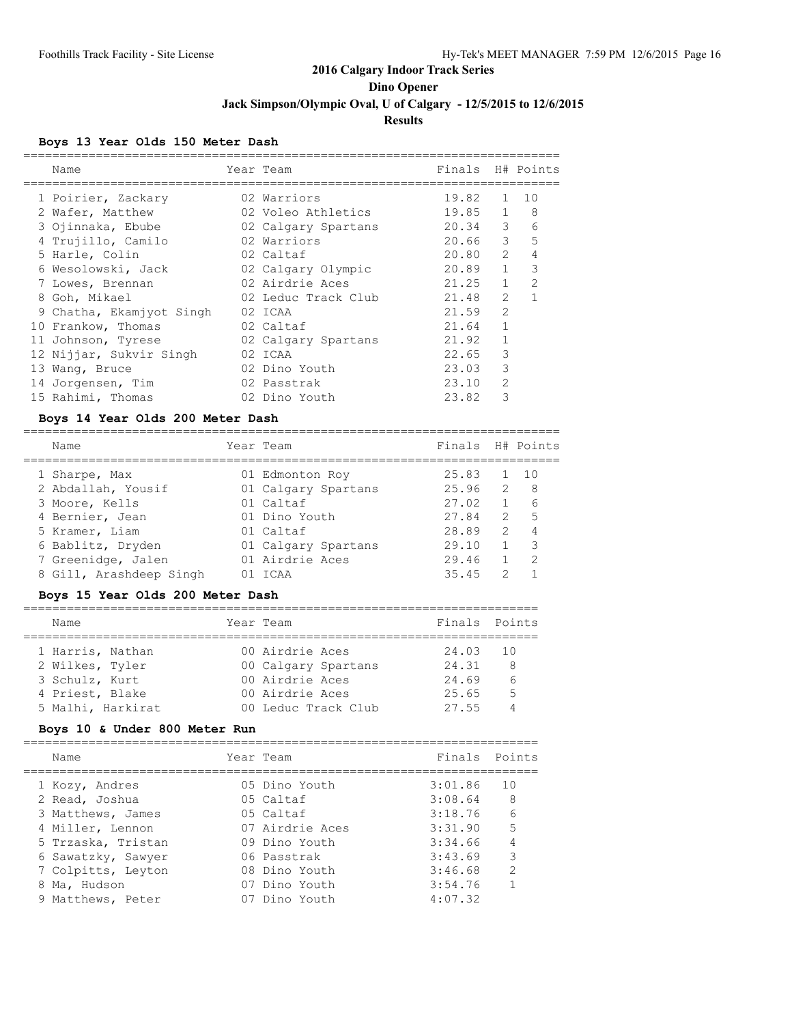### **Boys 13 Year Olds 150 Meter Dash**

| Name                     | Year Team           | Finals H# Points |                |               |
|--------------------------|---------------------|------------------|----------------|---------------|
| 1 Poirier, Zackary       | 02 Warriors         | 19.82            | $\mathbf{1}$   | 10            |
| 2 Wafer, Matthew         | 02 Voleo Athletics  | 19.85            | $\mathbf{1}$   | 8             |
| 3 Ojinnaka, Ebube        | 02 Calgary Spartans | 20.34            | 3              | 6             |
| 4 Trujillo, Camilo       | 02 Warriors         | 20.66            | $\mathcal{E}$  | 5             |
| 5 Harle, Colin           | 02 Caltaf           | 20.80            | $\mathcal{L}$  | 4             |
| 6 Wesolowski, Jack       | 02 Calgary Olympic  | 20.89            | $\mathbf{1}$   | 3             |
| 7 Lowes, Brennan         | 02 Airdrie Aces     | 21.25            | $\mathbf{1}$   | $\mathcal{P}$ |
| 8 Goh, Mikael            | 02 Leduc Track Club | 21.48            | $\mathcal{L}$  |               |
| 9 Chatha, Ekamjyot Singh | 02 ICAA             | 21.59            | $\mathfrak{D}$ |               |
| 10 Frankow, Thomas       | 02 Caltaf           | 21.64            |                |               |
| 11 Johnson, Tyrese       | 02 Calgary Spartans | 21.92            |                |               |
| 12 Nijjar, Sukvir Singh  | 02 ICAA             | 22.65            | 3              |               |
| 13 Wang, Bruce           | 02 Dino Youth       | 23.03            | 3              |               |
| 14 Jorgensen, Tim        | 02 Passtrak         | 23.10            | $\overline{2}$ |               |
| 15 Rahimi, Thomas        | 02 Dino Youth       | 23.82            | 3              |               |
|                          |                     |                  |                |               |

### **Boys 14 Year Olds 200 Meter Dash**

| Name                    | Year Team           | Finals H# Points |                |               |
|-------------------------|---------------------|------------------|----------------|---------------|
| 1 Sharpe, Max           | 01 Edmonton Roy     | 25.83            |                | 10            |
| 2 Abdallah, Yousif      | 01 Calgary Spartans | 25.96            | $\overline{2}$ | - 8           |
| 3 Moore, Kells          | 01 Caltaf           | 27.02            |                | 6             |
| 4 Bernier, Jean         | 01 Dino Youth       | 27.84            | $\mathcal{L}$  | $5^{\circ}$   |
| 5 Kramer, Liam          | 01 Caltaf           | 28.89            | $\mathcal{P}$  | 4             |
| 6 Bablitz, Dryden       | 01 Calgary Spartans | 29.10            |                | 3             |
| 7 Greenidge, Jalen      | 01 Airdrie Aces     | 29.46            |                | $\mathcal{D}$ |
| 8 Gill, Arashdeep Singh | TCAA                | 35.45            | っ              |               |
|                         |                     |                  |                |               |

### **Boys 15 Year Olds 200 Meter Dash**

| Name              | Year Team       |                     | Finals Points |   |
|-------------------|-----------------|---------------------|---------------|---|
| 1 Harris, Nathan  | 00 Airdrie Aces |                     | 24.03 10      |   |
| 2 Wilkes, Tyler   |                 | 00 Calgary Spartans | 24.31         | 8 |
| 3 Schulz, Kurt    | 00 Airdrie Aces |                     | 24.69         |   |
| 4 Priest, Blake   | 00 Airdrie Aces |                     | 25.65         | 5 |
| 5 Malhi, Harkirat |                 | 00 Leduc Track Club | 27.55         |   |

### **Boys 10 & Under 800 Meter Run**

| Name               | Year Team       | Finals Points |                |
|--------------------|-----------------|---------------|----------------|
| 1 Kozy, Andres     | 05 Dino Youth   | 3:01.86       | 1 O            |
| 2 Read, Joshua     | 05 Caltaf       | 3:08.64       | 8 <sup>8</sup> |
| 3 Matthews, James  | 05 Caltaf       | 3:18.76       | - 6            |
| 4 Miller, Lennon   | 07 Airdrie Aces | 3:31.90       | 5              |
| 5 Trzaska, Tristan | 09 Dino Youth   | 3:34.66       | $\overline{4}$ |
| 6 Sawatzky, Sawyer | 06 Passtrak     | 3:43.69       | 3              |
| 7 Colpitts, Leyton | 08 Dino Youth   | 3:46.68       | $\mathcal{L}$  |
| 8 Ma, Hudson       | 07 Dino Youth   | 3:54.76       |                |
| 9 Matthews, Peter  | 07 Dino Youth   | 4:07.32       |                |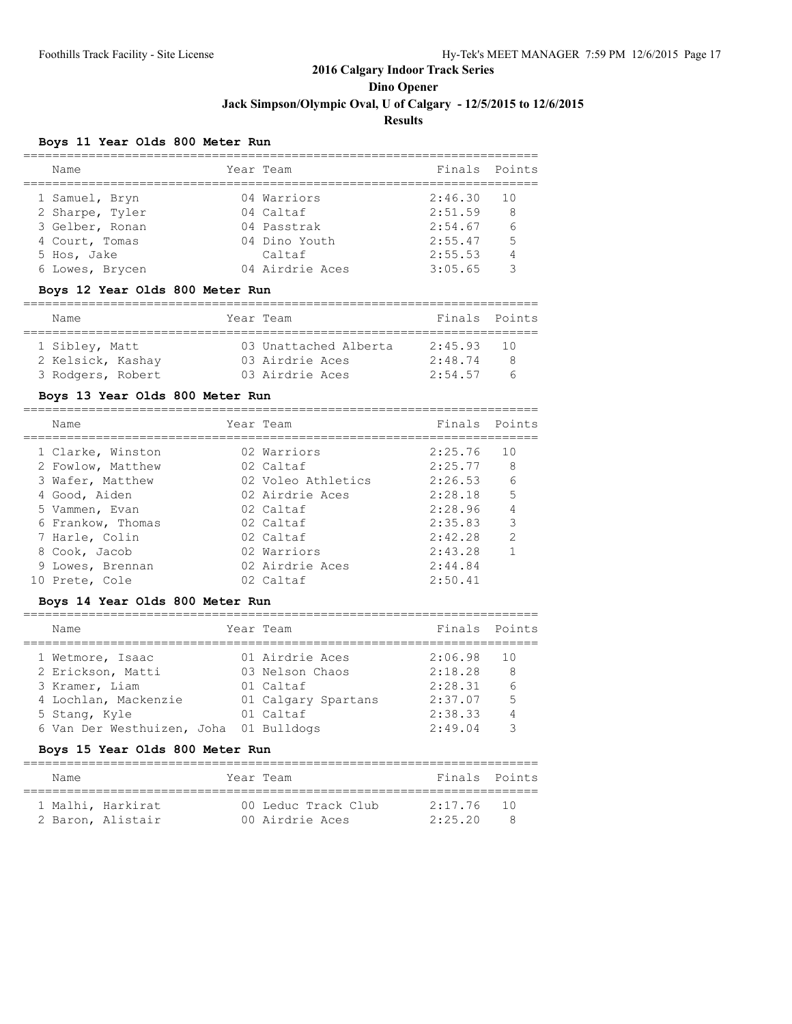### **Boys 11 Year Olds 800 Meter Run**

| Name            | Year Team       | Finals Points |      |
|-----------------|-----------------|---------------|------|
| 1 Samuel, Bryn  | 04 Warriors     | 2:46.30       | - 10 |
| 2 Sharpe, Tyler | 04 Caltaf       | 2:51.59       | 8    |
| 3 Gelber, Ronan | 04 Passtrak     | 2:54.67       | 6    |
| 4 Court, Tomas  | 04 Dino Youth   | 2:55.47       | 5    |
| 5 Hos, Jake     | Caltaf          | 2:55.53       |      |
| 6 Lowes, Brycen | 04 Airdrie Aces | 3:05.65       |      |

#### **Boys 12 Year Olds 800 Meter Run**

| Name              |  | Year Team             | Finals Points |      |
|-------------------|--|-----------------------|---------------|------|
| 1 Sibley, Matt    |  | 03 Unattached Alberta | 2:45.93       | - 10 |
| 2 Kelsick, Kashay |  | 03 Airdrie Aces       | 2:48.74       |      |
| 3 Rodgers, Robert |  | 03 Airdrie Aces       | 2:54.57       |      |

#### **Boys 13 Year Olds 800 Meter Run**

| Name              | Year Team          | Finals Points |                 |
|-------------------|--------------------|---------------|-----------------|
| 1 Clarke, Winston | 02 Warriors        | 2:25.76       | 1 O             |
| 2 Fowlow, Matthew | 02 Caltaf          | 2:25.77       | 8               |
| 3 Wafer, Matthew  | 02 Voleo Athletics | 2:26.53       | $6\overline{6}$ |
| 4 Good, Aiden     | 02 Airdrie Aces    | 2:28.18       | 5               |
| 5 Vammen, Evan    | 02 Caltaf          | 2:28.96       |                 |
| 6 Frankow, Thomas | 02 Caltaf          | 2:35.83       | 3               |
| 7 Harle, Colin    | 02 Caltaf          | 2:42.28       | $\mathcal{P}$   |
| 8 Cook, Jacob     | 02 Warriors        | 2:43.28       | 1               |
| 9 Lowes, Brennan  | 02 Airdrie Aces    | 2:44.84       |                 |
| 10 Prete, Cole    | 02 Caltaf          | 2:50.41       |                 |
|                   |                    |               |                 |

#### **Boys 14 Year Olds 800 Meter Run**

| Name                       | Year Team           | Finals  | Points          |
|----------------------------|---------------------|---------|-----------------|
| 1 Wetmore, Isaac           | 01 Airdrie Aces     | 2:06.98 | 10              |
| 2 Erickson, Matti          | 03 Nelson Chaos     | 2:18.28 | 8               |
| 3 Kramer, Liam             | 01 Caltaf           | 2:28.31 | $6\overline{6}$ |
| 4 Lochlan, Mackenzie       | 01 Calgary Spartans | 2:37.07 | 5               |
| 5 Stang, Kyle              | 01 Caltaf           | 2:38.33 | 4               |
| 6 Van Der Westhuizen, Joha | 01 Bulldogs         | 2:49.04 |                 |

### **Boys 15 Year Olds 800 Meter Run**

| Name |                   | Year Team |                     | Finals Points |  |  |  |  |
|------|-------------------|-----------|---------------------|---------------|--|--|--|--|
|      |                   |           |                     |               |  |  |  |  |
|      | 1 Malhi, Harkirat |           | 00 Leduc Track Club | $2:17.76$ 10  |  |  |  |  |
|      | 2 Baron, Alistair |           | 00 Airdrie Aces     | 2:25.20       |  |  |  |  |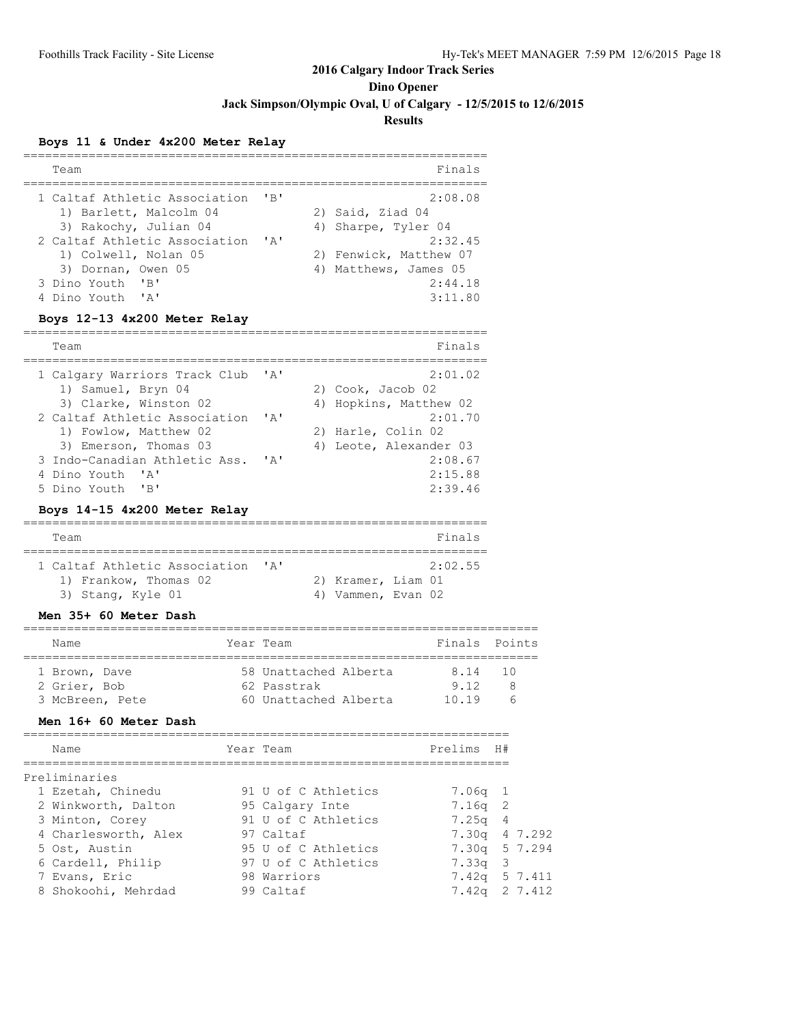**Dino Opener**

**Jack Simpson/Olympic Oval, U of Calgary - 12/5/2015 to 12/6/2015**

**Results**

### **Boys 11 & Under 4x200 Meter Relay**

| Team                                                                                                                                                            |                           | Finals                                                                           |
|-----------------------------------------------------------------------------------------------------------------------------------------------------------------|---------------------------|----------------------------------------------------------------------------------|
| 1 Caltaf Athletic Association<br>1) Barlett, Malcolm 04<br>3) Rakochy, Julian 04                                                                                | $'$ R $'$                 | 2:08.08<br>2) Said, Ziad 04<br>4) Sharpe, Tyler 04                               |
| 2 Caltaf Athletic Association<br>1) Colwell, Nolan 05<br>3) Dornan, Owen 05<br>$^{\prime}$ B <sup><math>\prime</math></sup><br>3 Dino Youth<br>4 Dino Youth 'A' | $\mathsf{r}_{\mathsf{A}}$ | 2:32.45<br>2) Fenwick, Matthew 07<br>4) Matthews, James 05<br>2:44.18<br>3:11.80 |

# **Boys 12-13 4x200 Meter Relay**

| Team                          |                                | Finals                 |
|-------------------------------|--------------------------------|------------------------|
| 1 Calgary Warriors Track Club | $\mathsf{I} \wedge \mathsf{I}$ | 2:01.02                |
| 1) Samuel, Bryn 04            |                                | 2) Cook, Jacob 02      |
| 3) Clarke, Winston 02         |                                | 4) Hopkins, Matthew 02 |
| 2 Caltaf Athletic Association | ' A'                           | 2:01.70                |
| 1) Fowlow, Matthew 02         |                                | 2) Harle, Colin 02     |
| 3) Emerson, Thomas 03         |                                | 4) Leote, Alexander 03 |
| 3 Indo-Canadian Athletic Ass. | $\mathsf{r}$ $\mathsf{a}$      | 2:08.67                |
| 4 Dino Youth 'A'              |                                | 2:15.88                |
| 5 Dino Youth 'B'              |                                | 2:39.46                |

#### **Boys 14-15 4x200 Meter Relay**

| Team                          |                           |                    | Finals  |
|-------------------------------|---------------------------|--------------------|---------|
|                               |                           |                    |         |
| 1 Caltaf Athletic Association | $\mathsf{r}_{\mathsf{A}}$ |                    | 2:02.55 |
| 1) Frankow, Thomas 02         |                           | 2) Kramer, Liam 01 |         |
| 3) Stang, Kyle 01             |                           | 4) Vammen, Evan 02 |         |

#### **Men 35+ 60 Meter Dash**

|  | Name            | Year Team |                       | Finals Points |      |  |  |  |
|--|-----------------|-----------|-----------------------|---------------|------|--|--|--|
|  |                 |           |                       |               |      |  |  |  |
|  | 1 Brown, Dave   |           | 58 Unattached Alberta | 8.14          | - 10 |  |  |  |
|  | 2 Grier, Bob    |           | 62 Passtrak           | 9 1 2         |      |  |  |  |
|  | 3 McBreen, Pete |           | 60 Unattached Alberta | 1019          |      |  |  |  |

#### **Men 16+ 60 Meter Dash**

| Name                 | Year Team           | Prelims       | H# |         |
|----------------------|---------------------|---------------|----|---------|
| Preliminaries        |                     |               |    |         |
| 1 Ezetah, Chinedu    | 91 U of C Athletics | 7.06a 1       |    |         |
| 2 Winkworth, Dalton  | 95 Calgary Inte     | $7.16q$ 2     |    |         |
| 3 Minton, Corey      | 91 U of C Athletics | $7.25q$ 4     |    |         |
| 4 Charlesworth, Alex | 97 Caltaf           | 7.30q 4 7.292 |    |         |
| 5 Ost, Austin        | 95 U of C Athletics | 7.30q 5 7.294 |    |         |
| 6 Cardell, Philip    | 97 U of C Athletics | 7.33q 3       |    |         |
| 7 Evans, Eric        | 98 Warriors         | 7.42q         |    | 5 7.411 |
| 8 Shokoohi, Mehrdad  | 99 Caltaf           | 7.42a         |    | 2 7.412 |
|                      |                     |               |    |         |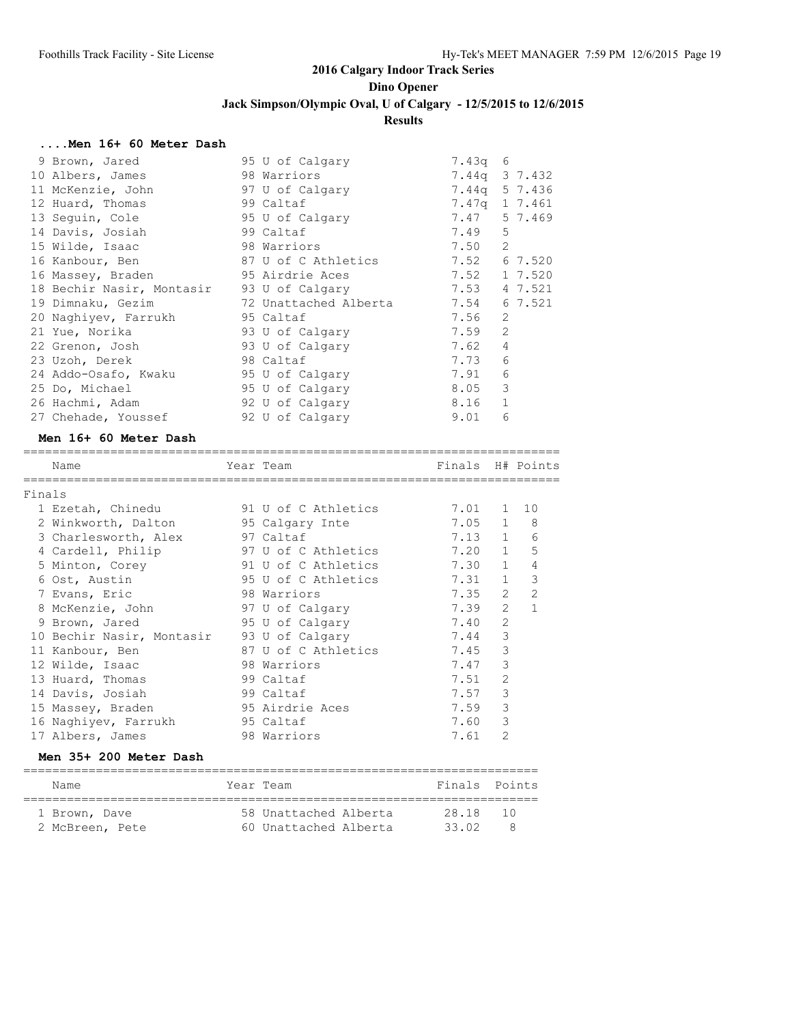#### **....Men 16+ 60 Meter Dash**

| 9 Brown, Jared                            | 95 U of Calgary                           | $7.43q$ 6 |                |
|-------------------------------------------|-------------------------------------------|-----------|----------------|
| 10 Albers, James                          | 98 Warriors                               | 7.44q     | 3 7.432        |
| 11 McKenzie, John                         | 97 U of Calgary                           | 7.44a     | 5 7.436        |
| 12 Huard, Thomas                          | 99 Caltaf                                 | 7.47a     | 1 7.461        |
| 13 Sequin, Cole                           | 95 U of Calgary                           | 7.47      | 5 7.469        |
| 14 Davis, Josiah                          | 99 Caltaf                                 | 7.49      | 5              |
| 15 Wilde, Isaac                           | 98 Warriors                               | 7.50      | 2              |
| 16 Kanbour, Ben                           | 87 U of C Athletics                       |           | 7.52 6 7.520   |
| 16 Massey, Braden                         | 95 Airdrie Aces                           | 7.52      | 1 7.520        |
| 18 Bechir Nasir, Montasir 93 U of Calgary |                                           | 7.53      | 4 7.521        |
|                                           | 19 Dimnaku, Gezim 6 72 Unattached Alberta | 7.54      | 6 7.521        |
| 20 Naghiyev, Farrukh 95 Caltaf            |                                           | 7.56      | $\mathfrak{L}$ |
| 21 Yue, Norika                            | 93 U of Calgary                           | 7.59      | 2              |
| 22 Grenon, Josh                           | 93 U of Calgary                           | 7.62      | 4              |
| 23 Uzoh, Derek                            | 98 Caltaf                                 | 7.73      | 6              |
| 24 Addo-Osafo, Kwaku                      | 95 U of Calgary                           | 7.91      | 6              |
| 25 Do, Michael                            | 95 U of Calgary                           | 8.05      | 3              |
| 26 Hachmi, Adam                           | 92 U of Calgary                           | 8.16      | $\mathbf{1}$   |
| 27 Chehade, Youssef                       | 92 U of Calgary                           | 9.01      | 6              |

### **Men 16+ 60 Meter Dash**

|        | Name                      | Year Team           | Finals H# Points |                |               |
|--------|---------------------------|---------------------|------------------|----------------|---------------|
| Finals |                           |                     |                  |                |               |
|        | 1 Ezetah, Chinedu         | 91 U of C Athletics | 7.01 1 10        |                |               |
|        | 2 Winkworth, Dalton       | 95 Calgary Inte     | $7.05 \t1 \t8$   |                |               |
|        | 3 Charlesworth, Alex      | 97 Caltaf           | 7.13 1           |                | 6             |
|        | 4 Cardell, Philip         | 97 U of C Athletics | $7.20 \quad 1$   |                | 5             |
|        | 5 Minton, Corey           | 91 U of C Athletics | 7.30             | $\mathbf{1}$   | 4             |
|        | 6 Ost, Austin             | 95 U of C Athletics | 7.31             | $\mathbf{1}$   | 3             |
|        | 7 Evans, Eric             | 98 Warriors         | 7.35             | 2              | $\mathcal{P}$ |
|        | 8 McKenzie, John          | 97 U of Calgary     | 7.39             | $\mathcal{L}$  | $\mathbf{1}$  |
|        | 9 Brown, Jared            | 95 U of Calgary     | 7.40             | $\overline{2}$ |               |
|        | 10 Bechir Nasir, Montasir | 93 U of Calgary     | 7.44             | 3              |               |
|        | 11 Kanbour, Ben           | 87 U of C Athletics | 7.45             | 3              |               |
|        | 12 Wilde, Isaac           | 98 Warriors         | 7.47             | 3              |               |
|        | 13 Huard, Thomas          | 99 Caltaf           | 7.51             | $\mathfrak{D}$ |               |
|        | 14 Davis, Josiah          | 99 Caltaf           | 7.57             | 3              |               |
|        | 15 Massey, Braden         | 95 Airdrie Aces     | 7.59             | 3              |               |
|        | 16 Naghiyev, Farrukh      | 95 Caltaf           | 7.60             | 3              |               |
|        | 17 Albers, James          | 98 Warriors         | 7.61             | $\mathfrak{D}$ |               |
|        |                           |                     |                  |                |               |

### **Men 35+ 200 Meter Dash**

| Name                             | Year Team                                      | Finals Points  |           |
|----------------------------------|------------------------------------------------|----------------|-----------|
| 1 Brown, Dave<br>2 McBreen, Pete | 58 Unattached Alberta<br>60 Unattached Alberta | 28.18<br>33 02 | 10 D<br>я |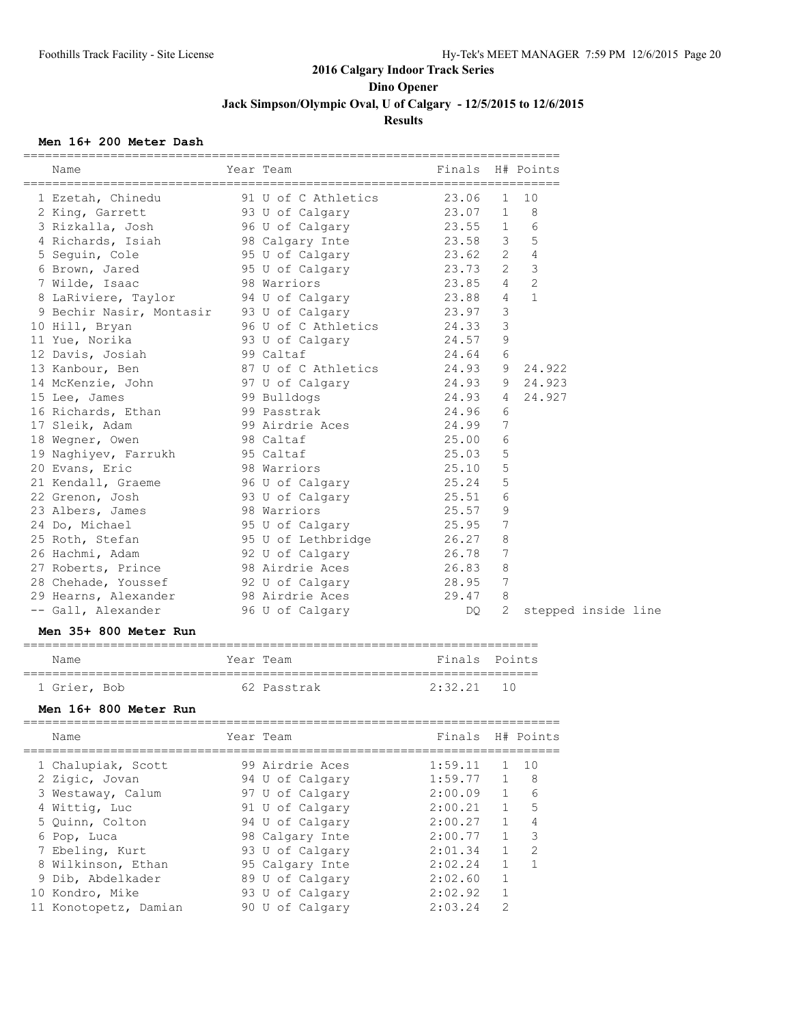#### **Men 16+ 200 Meter Dash**

| 91 U of C Athletics<br>23.06<br>1 Ezetah, Chinedu<br>$\mathbf{1}$<br>10<br>91 U or c<br>93 U of Calgary<br>2019 BM<br>8<br>23.07<br>$\mathbf{1}$<br>2 King, Garrett<br>96 U of Calgary<br>23.55<br>3 Rizkalla, Josh<br>6<br>$1 \quad$<br>98 Calgary Inte<br>23.58 3<br>5<br>4 Richards, Isiah<br>95 U of Calgary<br>$2^{\circ}$<br>$\overline{4}$<br>5 Seguin, Cole<br>23.62<br>3<br>$\overline{2}$<br>6 Brown, Jared<br>95 U of Calgary<br>23.73<br>$\overline{2}$<br>$\overline{4}$<br>23.85<br>7 Wilde, Isaac 98 Warriors 23.85<br>8 LaRiviere, Taylor 94 U of Calgary 23.88<br>9 Bechir Nasir, Montasir 93 U of Calgary 23.97<br>10 Hill, Bryan 96 U of C Athletics 24.33<br>$4\overline{4}$<br>$\mathbf{1}$<br>23.97<br>3<br>3<br>10 Hill, Bryan<br>93 U of Calgary 24.57<br>9<br>11 Yue, Norika<br>12 Davis, Josiah<br>24.64<br>99 Caltaf<br>6<br>87 U of C Athletics 24.93<br>9 24.922<br>13 Kanbour, Ben<br>14 McKenzie, John<br>97 U of Calgary<br>24.93<br>9 24.923<br>99 Bulldogs<br>24.93<br>15 Lee, James<br>24.927<br>4<br>16 Richards, Ethan 99 Passtrak<br>24.96<br>6<br>17 Sleik, Adam<br>99 Airdrie Aces<br>24.99<br>7<br>18 Wegner, Owen<br>98 Caltaf<br>6<br>25.00<br>5<br>19 Naghiyev, Farrukh 95 Caltaf<br>25.03<br>5<br>20 Evans, Eric<br>98 Warriors<br>25.10<br>25.24<br>96 U of Calgary<br>5<br>21 Kendall, Graeme<br>93 U of Calgary<br>25.51<br>6<br>22 Grenon, Josh<br>98 Warriors<br>9<br>23 Albers, James<br>25.57<br>95 U of Calgary<br>7<br>24 Do, Michael<br>25.95<br>95 U of Lethbridge 26.27<br>8<br>25 Roth, Stefan<br>26 Hachmi, Adam<br>92 U of Calgary<br>26.78<br>7<br>26.83<br>98 Airdrie Aces<br>8<br>27 Roberts, Prince<br>28.95<br>28 Chehade, Youssef 92 U of Calgary<br>$\overline{7}$<br>29 Hearns, Alexander 98 Airdrie Aces 29.47<br>8<br>96 U of Calgary<br>2<br>-- Gall, Alexander<br>stepped inside line<br>DQ.<br>Men 35+ 800 Meter Run<br>Year Team<br>Finals Points<br>Name<br>62 Passtrak<br>2:32.21<br>1 Grier, Bob<br>10<br>Men 16+ 800 Meter Run<br>Finals<br>Name<br>Year Team<br>H# Points<br>99 Airdrie Aces<br>1:59.11<br>10<br>1 Chalupiak, Scott<br>1<br>8<br>2 Zigic, Jovan<br>94 U of Calgary<br>1:59.77<br>$\mathbf{1}$<br>6<br>3 Westaway, Calum<br>97 U of Calgary<br>2:00.09<br>$\mathbf{1}$<br>5<br>4 Wittig, Luc<br>91 U of Calgary<br>$\mathbf 1$<br>2:00.21<br>4<br>5 Quinn, Colton<br>94 U of Calgary<br>2:00.27<br>$\mathbf{1}$<br>3<br>98 Calgary Inte<br>$\mathbf 1$<br>6 Pop, Luca<br>2:00.77<br>$\overline{2}$<br>$\mathbf{1}$<br>7 Ebeling, Kurt<br>93 U of Calgary<br>2:01.34<br>$\mathbf{1}$<br>$\mathbf{1}$<br>8 Wilkinson, Ethan<br>95 Calgary Inte<br>2:02.24<br>$\mathbf{1}$<br>9 Dib, Abdelkader<br>89 U of Calgary<br>2:02.60<br>10 Kondro, Mike<br>93 U of Calgary<br>2:02.92<br>$\mathbf{1}$<br>$\overline{2}$<br>11 Konotopetz, Damian<br>90 U of Calgary<br>2:03.24 | Name |  | ===========<br>Year Team | =============================<br>Finals H# Points |  |  |
|--------------------------------------------------------------------------------------------------------------------------------------------------------------------------------------------------------------------------------------------------------------------------------------------------------------------------------------------------------------------------------------------------------------------------------------------------------------------------------------------------------------------------------------------------------------------------------------------------------------------------------------------------------------------------------------------------------------------------------------------------------------------------------------------------------------------------------------------------------------------------------------------------------------------------------------------------------------------------------------------------------------------------------------------------------------------------------------------------------------------------------------------------------------------------------------------------------------------------------------------------------------------------------------------------------------------------------------------------------------------------------------------------------------------------------------------------------------------------------------------------------------------------------------------------------------------------------------------------------------------------------------------------------------------------------------------------------------------------------------------------------------------------------------------------------------------------------------------------------------------------------------------------------------------------------------------------------------------------------------------------------------------------------------------------------------------------------------------------------------------------------------------------------------------------------------------------------------------------------------------------------------------------------------------------------------------------------------------------------------------------------------------------------------------------------------------------------------------------------------------------------------------------------------------------------------------------------------------------------------------------------------------------------------------------------------------------------------------------------------------------------------------------------------------------------------------------------------------------------------------|------|--|--------------------------|---------------------------------------------------|--|--|
|                                                                                                                                                                                                                                                                                                                                                                                                                                                                                                                                                                                                                                                                                                                                                                                                                                                                                                                                                                                                                                                                                                                                                                                                                                                                                                                                                                                                                                                                                                                                                                                                                                                                                                                                                                                                                                                                                                                                                                                                                                                                                                                                                                                                                                                                                                                                                                                                                                                                                                                                                                                                                                                                                                                                                                                                                                                                    |      |  |                          |                                                   |  |  |
|                                                                                                                                                                                                                                                                                                                                                                                                                                                                                                                                                                                                                                                                                                                                                                                                                                                                                                                                                                                                                                                                                                                                                                                                                                                                                                                                                                                                                                                                                                                                                                                                                                                                                                                                                                                                                                                                                                                                                                                                                                                                                                                                                                                                                                                                                                                                                                                                                                                                                                                                                                                                                                                                                                                                                                                                                                                                    |      |  |                          |                                                   |  |  |
|                                                                                                                                                                                                                                                                                                                                                                                                                                                                                                                                                                                                                                                                                                                                                                                                                                                                                                                                                                                                                                                                                                                                                                                                                                                                                                                                                                                                                                                                                                                                                                                                                                                                                                                                                                                                                                                                                                                                                                                                                                                                                                                                                                                                                                                                                                                                                                                                                                                                                                                                                                                                                                                                                                                                                                                                                                                                    |      |  |                          |                                                   |  |  |
|                                                                                                                                                                                                                                                                                                                                                                                                                                                                                                                                                                                                                                                                                                                                                                                                                                                                                                                                                                                                                                                                                                                                                                                                                                                                                                                                                                                                                                                                                                                                                                                                                                                                                                                                                                                                                                                                                                                                                                                                                                                                                                                                                                                                                                                                                                                                                                                                                                                                                                                                                                                                                                                                                                                                                                                                                                                                    |      |  |                          |                                                   |  |  |
|                                                                                                                                                                                                                                                                                                                                                                                                                                                                                                                                                                                                                                                                                                                                                                                                                                                                                                                                                                                                                                                                                                                                                                                                                                                                                                                                                                                                                                                                                                                                                                                                                                                                                                                                                                                                                                                                                                                                                                                                                                                                                                                                                                                                                                                                                                                                                                                                                                                                                                                                                                                                                                                                                                                                                                                                                                                                    |      |  |                          |                                                   |  |  |
|                                                                                                                                                                                                                                                                                                                                                                                                                                                                                                                                                                                                                                                                                                                                                                                                                                                                                                                                                                                                                                                                                                                                                                                                                                                                                                                                                                                                                                                                                                                                                                                                                                                                                                                                                                                                                                                                                                                                                                                                                                                                                                                                                                                                                                                                                                                                                                                                                                                                                                                                                                                                                                                                                                                                                                                                                                                                    |      |  |                          |                                                   |  |  |
|                                                                                                                                                                                                                                                                                                                                                                                                                                                                                                                                                                                                                                                                                                                                                                                                                                                                                                                                                                                                                                                                                                                                                                                                                                                                                                                                                                                                                                                                                                                                                                                                                                                                                                                                                                                                                                                                                                                                                                                                                                                                                                                                                                                                                                                                                                                                                                                                                                                                                                                                                                                                                                                                                                                                                                                                                                                                    |      |  |                          |                                                   |  |  |
|                                                                                                                                                                                                                                                                                                                                                                                                                                                                                                                                                                                                                                                                                                                                                                                                                                                                                                                                                                                                                                                                                                                                                                                                                                                                                                                                                                                                                                                                                                                                                                                                                                                                                                                                                                                                                                                                                                                                                                                                                                                                                                                                                                                                                                                                                                                                                                                                                                                                                                                                                                                                                                                                                                                                                                                                                                                                    |      |  |                          |                                                   |  |  |
|                                                                                                                                                                                                                                                                                                                                                                                                                                                                                                                                                                                                                                                                                                                                                                                                                                                                                                                                                                                                                                                                                                                                                                                                                                                                                                                                                                                                                                                                                                                                                                                                                                                                                                                                                                                                                                                                                                                                                                                                                                                                                                                                                                                                                                                                                                                                                                                                                                                                                                                                                                                                                                                                                                                                                                                                                                                                    |      |  |                          |                                                   |  |  |
|                                                                                                                                                                                                                                                                                                                                                                                                                                                                                                                                                                                                                                                                                                                                                                                                                                                                                                                                                                                                                                                                                                                                                                                                                                                                                                                                                                                                                                                                                                                                                                                                                                                                                                                                                                                                                                                                                                                                                                                                                                                                                                                                                                                                                                                                                                                                                                                                                                                                                                                                                                                                                                                                                                                                                                                                                                                                    |      |  |                          |                                                   |  |  |
|                                                                                                                                                                                                                                                                                                                                                                                                                                                                                                                                                                                                                                                                                                                                                                                                                                                                                                                                                                                                                                                                                                                                                                                                                                                                                                                                                                                                                                                                                                                                                                                                                                                                                                                                                                                                                                                                                                                                                                                                                                                                                                                                                                                                                                                                                                                                                                                                                                                                                                                                                                                                                                                                                                                                                                                                                                                                    |      |  |                          |                                                   |  |  |
|                                                                                                                                                                                                                                                                                                                                                                                                                                                                                                                                                                                                                                                                                                                                                                                                                                                                                                                                                                                                                                                                                                                                                                                                                                                                                                                                                                                                                                                                                                                                                                                                                                                                                                                                                                                                                                                                                                                                                                                                                                                                                                                                                                                                                                                                                                                                                                                                                                                                                                                                                                                                                                                                                                                                                                                                                                                                    |      |  |                          |                                                   |  |  |
|                                                                                                                                                                                                                                                                                                                                                                                                                                                                                                                                                                                                                                                                                                                                                                                                                                                                                                                                                                                                                                                                                                                                                                                                                                                                                                                                                                                                                                                                                                                                                                                                                                                                                                                                                                                                                                                                                                                                                                                                                                                                                                                                                                                                                                                                                                                                                                                                                                                                                                                                                                                                                                                                                                                                                                                                                                                                    |      |  |                          |                                                   |  |  |
|                                                                                                                                                                                                                                                                                                                                                                                                                                                                                                                                                                                                                                                                                                                                                                                                                                                                                                                                                                                                                                                                                                                                                                                                                                                                                                                                                                                                                                                                                                                                                                                                                                                                                                                                                                                                                                                                                                                                                                                                                                                                                                                                                                                                                                                                                                                                                                                                                                                                                                                                                                                                                                                                                                                                                                                                                                                                    |      |  |                          |                                                   |  |  |
|                                                                                                                                                                                                                                                                                                                                                                                                                                                                                                                                                                                                                                                                                                                                                                                                                                                                                                                                                                                                                                                                                                                                                                                                                                                                                                                                                                                                                                                                                                                                                                                                                                                                                                                                                                                                                                                                                                                                                                                                                                                                                                                                                                                                                                                                                                                                                                                                                                                                                                                                                                                                                                                                                                                                                                                                                                                                    |      |  |                          |                                                   |  |  |
|                                                                                                                                                                                                                                                                                                                                                                                                                                                                                                                                                                                                                                                                                                                                                                                                                                                                                                                                                                                                                                                                                                                                                                                                                                                                                                                                                                                                                                                                                                                                                                                                                                                                                                                                                                                                                                                                                                                                                                                                                                                                                                                                                                                                                                                                                                                                                                                                                                                                                                                                                                                                                                                                                                                                                                                                                                                                    |      |  |                          |                                                   |  |  |
|                                                                                                                                                                                                                                                                                                                                                                                                                                                                                                                                                                                                                                                                                                                                                                                                                                                                                                                                                                                                                                                                                                                                                                                                                                                                                                                                                                                                                                                                                                                                                                                                                                                                                                                                                                                                                                                                                                                                                                                                                                                                                                                                                                                                                                                                                                                                                                                                                                                                                                                                                                                                                                                                                                                                                                                                                                                                    |      |  |                          |                                                   |  |  |
|                                                                                                                                                                                                                                                                                                                                                                                                                                                                                                                                                                                                                                                                                                                                                                                                                                                                                                                                                                                                                                                                                                                                                                                                                                                                                                                                                                                                                                                                                                                                                                                                                                                                                                                                                                                                                                                                                                                                                                                                                                                                                                                                                                                                                                                                                                                                                                                                                                                                                                                                                                                                                                                                                                                                                                                                                                                                    |      |  |                          |                                                   |  |  |
|                                                                                                                                                                                                                                                                                                                                                                                                                                                                                                                                                                                                                                                                                                                                                                                                                                                                                                                                                                                                                                                                                                                                                                                                                                                                                                                                                                                                                                                                                                                                                                                                                                                                                                                                                                                                                                                                                                                                                                                                                                                                                                                                                                                                                                                                                                                                                                                                                                                                                                                                                                                                                                                                                                                                                                                                                                                                    |      |  |                          |                                                   |  |  |
|                                                                                                                                                                                                                                                                                                                                                                                                                                                                                                                                                                                                                                                                                                                                                                                                                                                                                                                                                                                                                                                                                                                                                                                                                                                                                                                                                                                                                                                                                                                                                                                                                                                                                                                                                                                                                                                                                                                                                                                                                                                                                                                                                                                                                                                                                                                                                                                                                                                                                                                                                                                                                                                                                                                                                                                                                                                                    |      |  |                          |                                                   |  |  |
|                                                                                                                                                                                                                                                                                                                                                                                                                                                                                                                                                                                                                                                                                                                                                                                                                                                                                                                                                                                                                                                                                                                                                                                                                                                                                                                                                                                                                                                                                                                                                                                                                                                                                                                                                                                                                                                                                                                                                                                                                                                                                                                                                                                                                                                                                                                                                                                                                                                                                                                                                                                                                                                                                                                                                                                                                                                                    |      |  |                          |                                                   |  |  |
|                                                                                                                                                                                                                                                                                                                                                                                                                                                                                                                                                                                                                                                                                                                                                                                                                                                                                                                                                                                                                                                                                                                                                                                                                                                                                                                                                                                                                                                                                                                                                                                                                                                                                                                                                                                                                                                                                                                                                                                                                                                                                                                                                                                                                                                                                                                                                                                                                                                                                                                                                                                                                                                                                                                                                                                                                                                                    |      |  |                          |                                                   |  |  |
|                                                                                                                                                                                                                                                                                                                                                                                                                                                                                                                                                                                                                                                                                                                                                                                                                                                                                                                                                                                                                                                                                                                                                                                                                                                                                                                                                                                                                                                                                                                                                                                                                                                                                                                                                                                                                                                                                                                                                                                                                                                                                                                                                                                                                                                                                                                                                                                                                                                                                                                                                                                                                                                                                                                                                                                                                                                                    |      |  |                          |                                                   |  |  |
|                                                                                                                                                                                                                                                                                                                                                                                                                                                                                                                                                                                                                                                                                                                                                                                                                                                                                                                                                                                                                                                                                                                                                                                                                                                                                                                                                                                                                                                                                                                                                                                                                                                                                                                                                                                                                                                                                                                                                                                                                                                                                                                                                                                                                                                                                                                                                                                                                                                                                                                                                                                                                                                                                                                                                                                                                                                                    |      |  |                          |                                                   |  |  |
|                                                                                                                                                                                                                                                                                                                                                                                                                                                                                                                                                                                                                                                                                                                                                                                                                                                                                                                                                                                                                                                                                                                                                                                                                                                                                                                                                                                                                                                                                                                                                                                                                                                                                                                                                                                                                                                                                                                                                                                                                                                                                                                                                                                                                                                                                                                                                                                                                                                                                                                                                                                                                                                                                                                                                                                                                                                                    |      |  |                          |                                                   |  |  |
|                                                                                                                                                                                                                                                                                                                                                                                                                                                                                                                                                                                                                                                                                                                                                                                                                                                                                                                                                                                                                                                                                                                                                                                                                                                                                                                                                                                                                                                                                                                                                                                                                                                                                                                                                                                                                                                                                                                                                                                                                                                                                                                                                                                                                                                                                                                                                                                                                                                                                                                                                                                                                                                                                                                                                                                                                                                                    |      |  |                          |                                                   |  |  |
|                                                                                                                                                                                                                                                                                                                                                                                                                                                                                                                                                                                                                                                                                                                                                                                                                                                                                                                                                                                                                                                                                                                                                                                                                                                                                                                                                                                                                                                                                                                                                                                                                                                                                                                                                                                                                                                                                                                                                                                                                                                                                                                                                                                                                                                                                                                                                                                                                                                                                                                                                                                                                                                                                                                                                                                                                                                                    |      |  |                          |                                                   |  |  |
|                                                                                                                                                                                                                                                                                                                                                                                                                                                                                                                                                                                                                                                                                                                                                                                                                                                                                                                                                                                                                                                                                                                                                                                                                                                                                                                                                                                                                                                                                                                                                                                                                                                                                                                                                                                                                                                                                                                                                                                                                                                                                                                                                                                                                                                                                                                                                                                                                                                                                                                                                                                                                                                                                                                                                                                                                                                                    |      |  |                          |                                                   |  |  |
|                                                                                                                                                                                                                                                                                                                                                                                                                                                                                                                                                                                                                                                                                                                                                                                                                                                                                                                                                                                                                                                                                                                                                                                                                                                                                                                                                                                                                                                                                                                                                                                                                                                                                                                                                                                                                                                                                                                                                                                                                                                                                                                                                                                                                                                                                                                                                                                                                                                                                                                                                                                                                                                                                                                                                                                                                                                                    |      |  |                          |                                                   |  |  |
|                                                                                                                                                                                                                                                                                                                                                                                                                                                                                                                                                                                                                                                                                                                                                                                                                                                                                                                                                                                                                                                                                                                                                                                                                                                                                                                                                                                                                                                                                                                                                                                                                                                                                                                                                                                                                                                                                                                                                                                                                                                                                                                                                                                                                                                                                                                                                                                                                                                                                                                                                                                                                                                                                                                                                                                                                                                                    |      |  |                          |                                                   |  |  |
|                                                                                                                                                                                                                                                                                                                                                                                                                                                                                                                                                                                                                                                                                                                                                                                                                                                                                                                                                                                                                                                                                                                                                                                                                                                                                                                                                                                                                                                                                                                                                                                                                                                                                                                                                                                                                                                                                                                                                                                                                                                                                                                                                                                                                                                                                                                                                                                                                                                                                                                                                                                                                                                                                                                                                                                                                                                                    |      |  |                          |                                                   |  |  |
|                                                                                                                                                                                                                                                                                                                                                                                                                                                                                                                                                                                                                                                                                                                                                                                                                                                                                                                                                                                                                                                                                                                                                                                                                                                                                                                                                                                                                                                                                                                                                                                                                                                                                                                                                                                                                                                                                                                                                                                                                                                                                                                                                                                                                                                                                                                                                                                                                                                                                                                                                                                                                                                                                                                                                                                                                                                                    |      |  |                          |                                                   |  |  |
|                                                                                                                                                                                                                                                                                                                                                                                                                                                                                                                                                                                                                                                                                                                                                                                                                                                                                                                                                                                                                                                                                                                                                                                                                                                                                                                                                                                                                                                                                                                                                                                                                                                                                                                                                                                                                                                                                                                                                                                                                                                                                                                                                                                                                                                                                                                                                                                                                                                                                                                                                                                                                                                                                                                                                                                                                                                                    |      |  |                          |                                                   |  |  |
|                                                                                                                                                                                                                                                                                                                                                                                                                                                                                                                                                                                                                                                                                                                                                                                                                                                                                                                                                                                                                                                                                                                                                                                                                                                                                                                                                                                                                                                                                                                                                                                                                                                                                                                                                                                                                                                                                                                                                                                                                                                                                                                                                                                                                                                                                                                                                                                                                                                                                                                                                                                                                                                                                                                                                                                                                                                                    |      |  |                          |                                                   |  |  |
|                                                                                                                                                                                                                                                                                                                                                                                                                                                                                                                                                                                                                                                                                                                                                                                                                                                                                                                                                                                                                                                                                                                                                                                                                                                                                                                                                                                                                                                                                                                                                                                                                                                                                                                                                                                                                                                                                                                                                                                                                                                                                                                                                                                                                                                                                                                                                                                                                                                                                                                                                                                                                                                                                                                                                                                                                                                                    |      |  |                          |                                                   |  |  |
|                                                                                                                                                                                                                                                                                                                                                                                                                                                                                                                                                                                                                                                                                                                                                                                                                                                                                                                                                                                                                                                                                                                                                                                                                                                                                                                                                                                                                                                                                                                                                                                                                                                                                                                                                                                                                                                                                                                                                                                                                                                                                                                                                                                                                                                                                                                                                                                                                                                                                                                                                                                                                                                                                                                                                                                                                                                                    |      |  |                          |                                                   |  |  |
|                                                                                                                                                                                                                                                                                                                                                                                                                                                                                                                                                                                                                                                                                                                                                                                                                                                                                                                                                                                                                                                                                                                                                                                                                                                                                                                                                                                                                                                                                                                                                                                                                                                                                                                                                                                                                                                                                                                                                                                                                                                                                                                                                                                                                                                                                                                                                                                                                                                                                                                                                                                                                                                                                                                                                                                                                                                                    |      |  |                          |                                                   |  |  |
|                                                                                                                                                                                                                                                                                                                                                                                                                                                                                                                                                                                                                                                                                                                                                                                                                                                                                                                                                                                                                                                                                                                                                                                                                                                                                                                                                                                                                                                                                                                                                                                                                                                                                                                                                                                                                                                                                                                                                                                                                                                                                                                                                                                                                                                                                                                                                                                                                                                                                                                                                                                                                                                                                                                                                                                                                                                                    |      |  |                          |                                                   |  |  |
|                                                                                                                                                                                                                                                                                                                                                                                                                                                                                                                                                                                                                                                                                                                                                                                                                                                                                                                                                                                                                                                                                                                                                                                                                                                                                                                                                                                                                                                                                                                                                                                                                                                                                                                                                                                                                                                                                                                                                                                                                                                                                                                                                                                                                                                                                                                                                                                                                                                                                                                                                                                                                                                                                                                                                                                                                                                                    |      |  |                          |                                                   |  |  |
|                                                                                                                                                                                                                                                                                                                                                                                                                                                                                                                                                                                                                                                                                                                                                                                                                                                                                                                                                                                                                                                                                                                                                                                                                                                                                                                                                                                                                                                                                                                                                                                                                                                                                                                                                                                                                                                                                                                                                                                                                                                                                                                                                                                                                                                                                                                                                                                                                                                                                                                                                                                                                                                                                                                                                                                                                                                                    |      |  |                          |                                                   |  |  |
|                                                                                                                                                                                                                                                                                                                                                                                                                                                                                                                                                                                                                                                                                                                                                                                                                                                                                                                                                                                                                                                                                                                                                                                                                                                                                                                                                                                                                                                                                                                                                                                                                                                                                                                                                                                                                                                                                                                                                                                                                                                                                                                                                                                                                                                                                                                                                                                                                                                                                                                                                                                                                                                                                                                                                                                                                                                                    |      |  |                          |                                                   |  |  |
|                                                                                                                                                                                                                                                                                                                                                                                                                                                                                                                                                                                                                                                                                                                                                                                                                                                                                                                                                                                                                                                                                                                                                                                                                                                                                                                                                                                                                                                                                                                                                                                                                                                                                                                                                                                                                                                                                                                                                                                                                                                                                                                                                                                                                                                                                                                                                                                                                                                                                                                                                                                                                                                                                                                                                                                                                                                                    |      |  |                          |                                                   |  |  |
|                                                                                                                                                                                                                                                                                                                                                                                                                                                                                                                                                                                                                                                                                                                                                                                                                                                                                                                                                                                                                                                                                                                                                                                                                                                                                                                                                                                                                                                                                                                                                                                                                                                                                                                                                                                                                                                                                                                                                                                                                                                                                                                                                                                                                                                                                                                                                                                                                                                                                                                                                                                                                                                                                                                                                                                                                                                                    |      |  |                          |                                                   |  |  |
|                                                                                                                                                                                                                                                                                                                                                                                                                                                                                                                                                                                                                                                                                                                                                                                                                                                                                                                                                                                                                                                                                                                                                                                                                                                                                                                                                                                                                                                                                                                                                                                                                                                                                                                                                                                                                                                                                                                                                                                                                                                                                                                                                                                                                                                                                                                                                                                                                                                                                                                                                                                                                                                                                                                                                                                                                                                                    |      |  |                          |                                                   |  |  |
|                                                                                                                                                                                                                                                                                                                                                                                                                                                                                                                                                                                                                                                                                                                                                                                                                                                                                                                                                                                                                                                                                                                                                                                                                                                                                                                                                                                                                                                                                                                                                                                                                                                                                                                                                                                                                                                                                                                                                                                                                                                                                                                                                                                                                                                                                                                                                                                                                                                                                                                                                                                                                                                                                                                                                                                                                                                                    |      |  |                          |                                                   |  |  |
|                                                                                                                                                                                                                                                                                                                                                                                                                                                                                                                                                                                                                                                                                                                                                                                                                                                                                                                                                                                                                                                                                                                                                                                                                                                                                                                                                                                                                                                                                                                                                                                                                                                                                                                                                                                                                                                                                                                                                                                                                                                                                                                                                                                                                                                                                                                                                                                                                                                                                                                                                                                                                                                                                                                                                                                                                                                                    |      |  |                          |                                                   |  |  |
|                                                                                                                                                                                                                                                                                                                                                                                                                                                                                                                                                                                                                                                                                                                                                                                                                                                                                                                                                                                                                                                                                                                                                                                                                                                                                                                                                                                                                                                                                                                                                                                                                                                                                                                                                                                                                                                                                                                                                                                                                                                                                                                                                                                                                                                                                                                                                                                                                                                                                                                                                                                                                                                                                                                                                                                                                                                                    |      |  |                          |                                                   |  |  |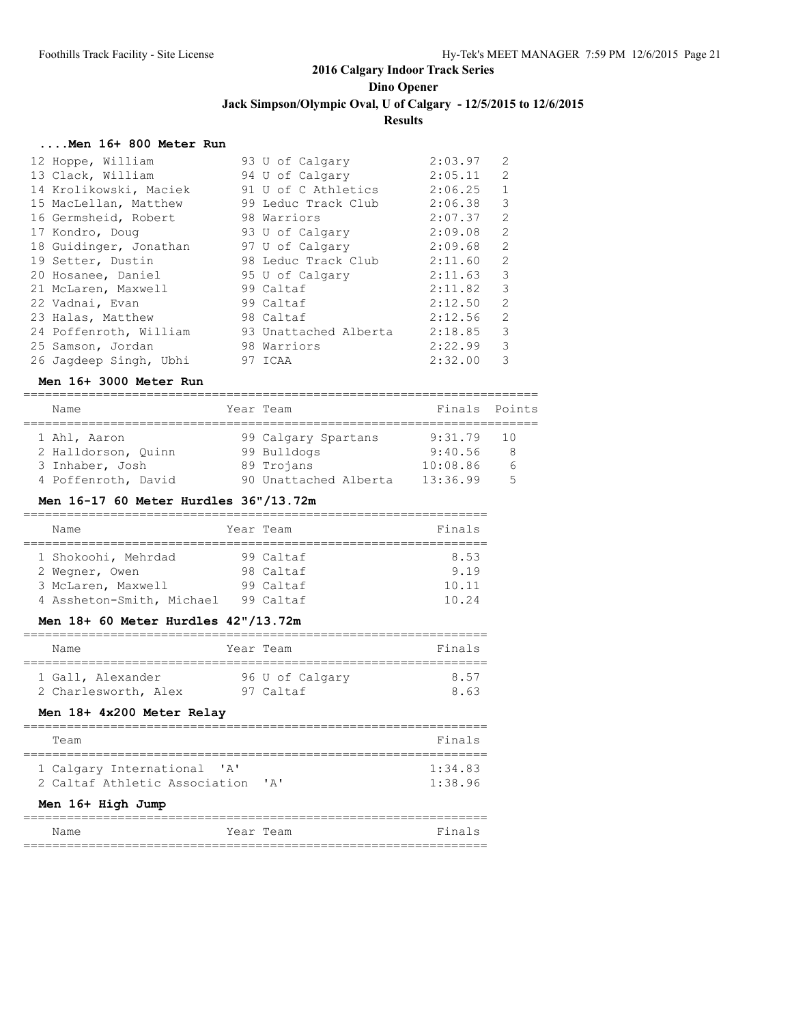#### **....Men 16+ 800 Meter Run**

| 12 Hoppe, William      | 93 U of Calgary                                      | 2:03.97 | 2            |
|------------------------|------------------------------------------------------|---------|--------------|
| 13 Clack, William      | 94 U of Calgary 2:05.11                              |         | 2            |
| 14 Krolikowski, Maciek | $91$ U of C Athletics $2:06.25$                      |         | $\mathbf{1}$ |
| 15 MacLellan, Matthew  | 99 Leduc Track Club                                  | 2:06.38 | 3            |
| 16 Germsheid, Robert   | 98 Warriors                                          | 2:07.37 | 2            |
| 17 Kondro, Doug        | 93 U of Calgary                                      | 2:09.08 | 2            |
| 18 Guidinger, Jonathan | 97 U of Calgary                                      | 2:09.68 | 2            |
| 19 Setter, Dustin      | 98 Leduc Track Club                                  | 2:11.60 | 2            |
| 20 Hosanee, Daniel     | 95 U of Calgary                                      | 2:11.63 | 3            |
| 21 McLaren, Maxwell    | 99 Caltaf                                            | 2:11.82 | 3            |
| 22 Vadnai, Evan        | 99 Caltaf                                            | 2:12.50 | 2            |
| 23 Halas, Matthew      | 98 Caltaf                                            | 2:12.56 | 2            |
|                        | 24 Poffenroth, William 93 Unattached Alberta 2:18.85 |         | 3            |
| 25 Samson, Jordan      | 98 Warriors                                          | 2:22.99 | 3            |
| 26 Jaqdeep Singh, Ubhi | 97 ICAA                                              | 2:32.00 | 3            |

#### **Men 16+ 3000 Meter Run**

#### ======================================================================= Name Team Year Team Finals Points

| <u>ivanc</u>        | $11.111$ $11.111$     |          | 1.111 |
|---------------------|-----------------------|----------|-------|
| 1 Ahl, Aaron        | 99 Calgary Spartans   | 9:31.79  | 10    |
| 2 Halldorson, Ouinn | 99 Bulldogs           | 9:40.56  | 8     |
| 3 Inhaber, Josh     | 89 Trojans            | 10:08.86 | 6     |
| 4 Poffenroth, David | 90 Unattached Alberta | 13:36.99 | -5    |

#### **Men 16-17 60 Meter Hurdles 36"/13.72m**

| Name                      |  | Year Team | Finals |  |  |  |
|---------------------------|--|-----------|--------|--|--|--|
|                           |  |           |        |  |  |  |
| 1 Shokoohi, Mehrdad       |  | 99 Caltaf | 8.53   |  |  |  |
| 2 Wegner, Owen            |  | 98 Caltaf | 9.19   |  |  |  |
| 3 McLaren, Maxwell        |  | 99 Caltaf | 10.11  |  |  |  |
| 4 Assheton-Smith, Michael |  | 99 Caltaf | 10.24  |  |  |  |

#### **Men 18+ 60 Meter Hurdles 42"/13.72m**

| Name                 | Year Team       | Finals |
|----------------------|-----------------|--------|
| 1 Gall, Alexander    | 96 U of Calgary | 857    |
| 2 Charlesworth, Alex | 97 Caltaf       | 863    |

#### **Men 18+ 4x200 Meter Relay**

| Team                                  | Finals  |  |  |
|---------------------------------------|---------|--|--|
|                                       |         |  |  |
| 1 Calgary International 'A'           | 1:34.83 |  |  |
| 2 Caltaf Athletic Association<br>י בי | 1:38.96 |  |  |
| Men 16+ High Jump                     |         |  |  |

| Name | Year Team | Finals |
|------|-----------|--------|
|      |           |        |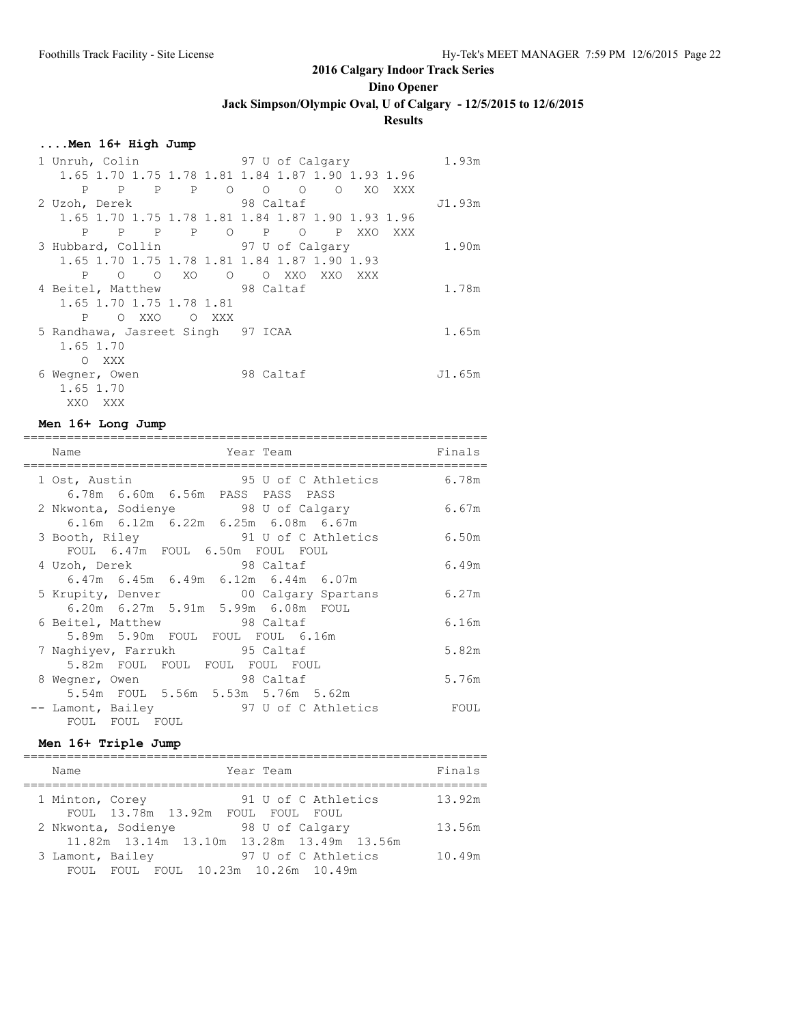**Dino Opener**

**Jack Simpson/Olympic Oval, U of Calgary - 12/5/2015 to 12/6/2015**

### **Results**

### **....Men 16+ High Jump**

| 1 Unruh, Colin                                | 97 U of Calgary                                   | 1.93m  |
|-----------------------------------------------|---------------------------------------------------|--------|
|                                               | 1.65 1.70 1.75 1.78 1.81 1.84 1.87 1.90 1.93 1.96 |        |
| P P P<br>P<br>$\circ$                         | $O$ 0<br>$\circ$<br>XO XXX                        |        |
| 2 Uzoh, Derek                                 | 98 Caltaf                                         | J1.93m |
|                                               | 1.65 1.70 1.75 1.78 1.81 1.84 1.87 1.90 1.93 1.96 |        |
| P<br>$\mathbf{P}$<br>$\overline{O}$<br>P<br>P | P<br>$\circ$<br>$\mathbf{P}$<br>XXO<br>XXX        |        |
| 3 Hubbard, Collin 97 U of Calgary             |                                                   | 1.90m  |
| 1.65 1.70 1.75 1.78 1.81 1.84 1.87 1.90 1.93  |                                                   |        |
| XO O<br>P<br>$\circ$ $\circ$                  | O XXO XXO<br>XXX                                  |        |
| 4 Beitel, Matthew                             | 98 Caltaf                                         | 1.78m  |
| 1.65 1.70 1.75 1.78 1.81                      |                                                   |        |
| P<br>$\circ$<br>XXO<br>$\circ$<br>XXX X       |                                                   |        |
| 5 Randhawa, Jasreet Singh 97 ICAA             |                                                   | 1.65m  |
| 1.65 1.70                                     |                                                   |        |
| XXX<br>$\Omega$                               |                                                   |        |
| 6 Wegner, Owen                                | 98 Caltaf                                         | J1.65m |
| 1.65 1.70                                     |                                                   |        |
| XXO XXX                                       |                                                   |        |

#### **Men 16+ Long Jump**

| Name<br>Year Team<br>=====================                              | Finals |
|-------------------------------------------------------------------------|--------|
| 95 U of C Athletics<br>1 Ost, Austin                                    | 6.78m  |
| 6.78m 6.60m 6.56m PASS PASS PASS<br>2 Nkwonta, Sodienye 38 U of Calgary | 6.67m  |
| 6.16m 6.12m 6.22m 6.25m 6.08m 6.67m                                     |        |
| 3 Booth, Riley 91 U of C Athletics                                      | 6.50m  |
| FOUL 6.47m FOUL 6.50m FOUL FOUL                                         |        |
| 4 Uzoh, Derek 98 Caltaf                                                 | 6.49m  |
| $6.47m$ $6.45m$ $6.49m$ $6.12m$ $6.44m$ $6.07m$                         |        |
| 5 Krupity, Denver 600 Calgary Spartans                                  | 6.27m  |
| 6.20m 6.27m 5.91m 5.99m 6.08m FOUL                                      |        |
| 6 Beitel, Matthew 98 Caltaf                                             | 6.16m  |
| 5.89m 5.90m FOUL FOUL FOUL 6.16m                                        |        |
| 7 Naghiyev, Farrukh 95 Caltaf                                           | 5.82m  |
| 5.82m FOUL FOUL FOUL FOUL FOUL                                          |        |
| 8 Wegner, Owen 98 Caltaf                                                | 5.76m  |
| 5.54m FOUL 5.56m 5.53m 5.76m 5.62m                                      |        |
| -- Lamont, Bailey 37 U of C Athletics                                   | FOUL   |
| FOUL FOUL FOUL                                                          |        |

### **Men 16+ Triple Jump**

| Name                      | Year Team                                                                           | Finals |
|---------------------------|-------------------------------------------------------------------------------------|--------|
| 1 Minton, Corey           | 91 U of C Athletics<br>FOUL 13.78m 13.92m FOUL FOUL<br>FOUL.                        | 13.92m |
|                           | 2 Nkwonta, Sodienye<br>98 U of Calgary<br>11.82m 13.14m 13.10m 13.28m 13.49m 13.56m | 13.56m |
| 3 Lamont, Bailey<br>FOUL. | 97 U of C Athletics<br>FOUL 10.23m 10.26m 10.49m                                    | 10.49m |